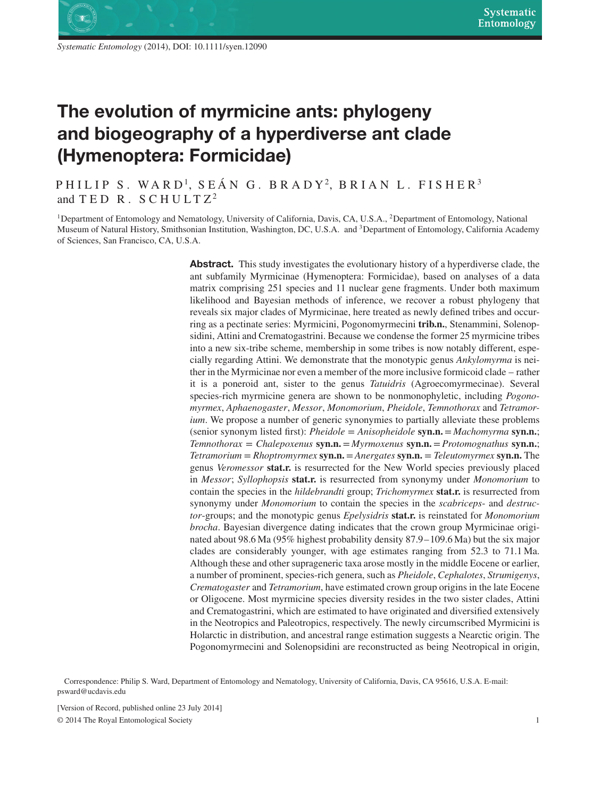# **The evolution of myrmicine ants: phylogeny and biogeography of a hyperdiverse ant clade (Hymenoptera: Formicidae)**

PHILIP S. WARD<sup>1</sup>, SEÁN G. BRADY<sup>2</sup>, BRIAN L. FISHER<sup>3</sup> and  $TED R$ .  $S CH ULTZ^2$ 

<sup>1</sup>Department of Entomology and Nematology, University of California, Davis, CA, U.S.A., <sup>2</sup>Department of Entomology, National Museum of Natural History, Smithsonian Institution, Washington, DC, U.S.A. and 3Department of Entomology, California Academy of Sciences, San Francisco, CA, U.S.A.

> **Abstract.** This study investigates the evolutionary history of a hyperdiverse clade, the ant subfamily Myrmicinae (Hymenoptera: Formicidae), based on analyses of a data matrix comprising 251 species and 11 nuclear gene fragments. Under both maximum likelihood and Bayesian methods of inference, we recover a robust phylogeny that reveals six major clades of Myrmicinae, here treated as newly defined tribes and occurring as a pectinate series: Myrmicini, Pogonomyrmecini **trib.n.**, Stenammini, Solenopsidini, Attini and Crematogastrini. Because we condense the former 25 myrmicine tribes into a new six-tribe scheme, membership in some tribes is now notably different, especially regarding Attini. We demonstrate that the monotypic genus *Ankylomyrma* is neither in the Myrmicinae nor even a member of the more inclusive formicoid clade – rather it is a poneroid ant, sister to the genus *Tatuidris* (Agroecomyrmecinae). Several species-rich myrmicine genera are shown to be nonmonophyletic, including *Pogonomyrmex*, *Aphaenogaster*, *Messor*, *Monomorium*, *Pheidole*, *Temnothorax* and *Tetramorium*. We propose a number of generic synonymies to partially alleviate these problems (senior synonym listed first): *Pheidole* = *Anisopheidole* **syn.n.**= *Machomyrma* **syn.n.**; *Temnothorax* = *Chalepoxenus* **syn.n.**= *Myrmoxenus* **syn.n.**=*Protomognathus* **syn.n.**; *Tetramorium* = *Rhoptromyrmex* **syn.n.**=*Anergates* **syn.n.** = *Teleutomyrmex* **syn.n.** The genus *Veromessor* **stat.r.** is resurrected for the New World species previously placed in *Messor*; *Syllophopsis* **stat.r.** is resurrected from synonymy under *Monomorium* to contain the species in the *hildebrandti* group; *Trichomyrmex* **stat.r.** is resurrected from synonymy under *Monomorium* to contain the species in the *scabriceps*- and *destructor*-groups; and the monotypic genus *Epelysidris* **stat.r.** is reinstated for *Monomorium brocha*. Bayesian divergence dating indicates that the crown group Myrmicinae originated about 98.6 Ma (95% highest probability density 87.9–109.6 Ma) but the six major clades are considerably younger, with age estimates ranging from 52.3 to 71.1 Ma. Although these and other suprageneric taxa arose mostly in the middle Eocene or earlier, a number of prominent, species-rich genera, such as *Pheidole*, *Cephalotes*, *Strumigenys*, *Crematogaster* and *Tetramorium*, have estimated crown group origins in the late Eocene or Oligocene. Most myrmicine species diversity resides in the two sister clades, Attini and Crematogastrini, which are estimated to have originated and diversified extensively in the Neotropics and Paleotropics, respectively. The newly circumscribed Myrmicini is Holarctic in distribution, and ancestral range estimation suggests a Nearctic origin. The Pogonomyrmecini and Solenopsidini are reconstructed as being Neotropical in origin,

Correspondence: Philip S. Ward, Department of Entomology and Nematology, University of California, Davis, CA 95616, U.S.A. E-mail: psward@ucdavis.edu

[Version of Record, published online 23 July 2014] © 2014 The Royal Entomological Society 1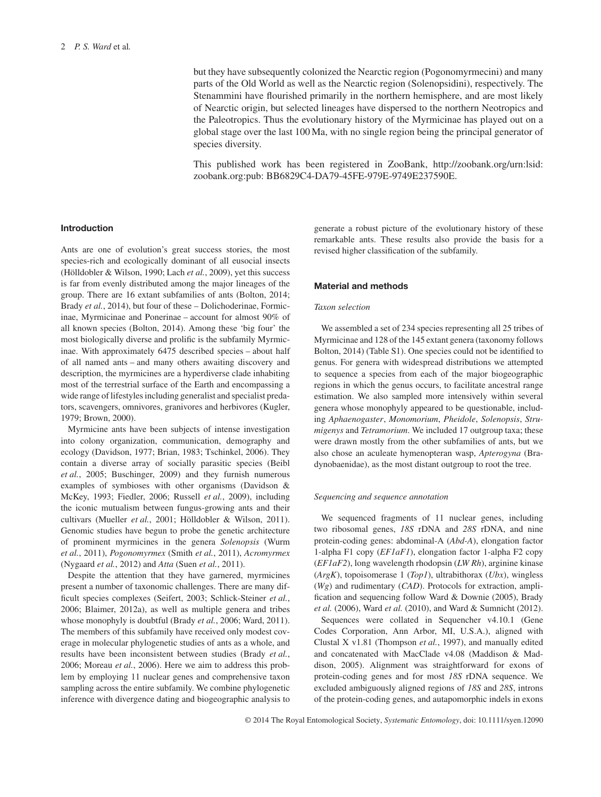but they have subsequently colonized the Nearctic region (Pogonomyrmecini) and many parts of the Old World as well as the Nearctic region (Solenopsidini), respectively. The Stenammini have flourished primarily in the northern hemisphere, and are most likely of Nearctic origin, but selected lineages have dispersed to the northern Neotropics and the Paleotropics. Thus the evolutionary history of the Myrmicinae has played out on a global stage over the last 100 Ma, with no single region being the principal generator of species diversity.

This published work has been registered in ZooBank, http://zoobank.org/urn:lsid: zoobank.org:pub: BB6829C4-DA79-45FE-979E-9749E237590E.

## **Introduction**

Ants are one of evolution's great success stories, the most species-rich and ecologically dominant of all eusocial insects (Hölldobler & Wilson, 1990; Lach *et al.*, 2009), yet this success is far from evenly distributed among the major lineages of the group. There are 16 extant subfamilies of ants (Bolton, 2014; Brady *et al.*, 2014), but four of these – Dolichoderinae, Formicinae, Myrmicinae and Ponerinae – account for almost 90% of all known species (Bolton, 2014). Among these 'big four' the most biologically diverse and prolific is the subfamily Myrmicinae. With approximately 6475 described species – about half of all named ants – and many others awaiting discovery and description, the myrmicines are a hyperdiverse clade inhabiting most of the terrestrial surface of the Earth and encompassing a wide range of lifestyles including generalist and specialist predators, scavengers, omnivores, granivores and herbivores (Kugler, 1979; Brown, 2000).

Myrmicine ants have been subjects of intense investigation into colony organization, communication, demography and ecology (Davidson, 1977; Brian, 1983; Tschinkel, 2006). They contain a diverse array of socially parasitic species (Beibl *et al.*, 2005; Buschinger, 2009) and they furnish numerous examples of symbioses with other organisms (Davidson & McKey, 1993; Fiedler, 2006; Russell *et al.*, 2009), including the iconic mutualism between fungus-growing ants and their cultivars (Mueller *et al.*, 2001; Hölldobler & Wilson, 2011). Genomic studies have begun to probe the genetic architecture of prominent myrmicines in the genera *Solenopsis* (Wurm *et al.*, 2011), *Pogonomyrmex* (Smith *et al.*, 2011), *Acromyrmex* (Nygaard *et al.*, 2012) and *Atta* (Suen *et al.*, 2011).

Despite the attention that they have garnered, myrmicines present a number of taxonomic challenges. There are many difficult species complexes (Seifert, 2003; Schlick-Steiner *et al.*, 2006; Blaimer, 2012a), as well as multiple genera and tribes whose monophyly is doubtful (Brady *et al.*, 2006; Ward, 2011). The members of this subfamily have received only modest coverage in molecular phylogenetic studies of ants as a whole, and results have been inconsistent between studies (Brady *et al.*, 2006; Moreau *et al.*, 2006). Here we aim to address this problem by employing 11 nuclear genes and comprehensive taxon sampling across the entire subfamily. We combine phylogenetic inference with divergence dating and biogeographic analysis to generate a robust picture of the evolutionary history of these remarkable ants. These results also provide the basis for a revised higher classification of the subfamily.

## **Material and methods**

### *Taxon selection*

We assembled a set of 234 species representing all 25 tribes of Myrmicinae and 128 of the 145 extant genera (taxonomy follows Bolton, 2014) (Table S1). One species could not be identified to genus. For genera with widespread distributions we attempted to sequence a species from each of the major biogeographic regions in which the genus occurs, to facilitate ancestral range estimation. We also sampled more intensively within several genera whose monophyly appeared to be questionable, including *Aphaenogaster*, *Monomorium*, *Pheidole*, *Solenopsis*, *Strumigenys* and *Tetramorium*. We included 17 outgroup taxa; these were drawn mostly from the other subfamilies of ants, but we also chose an aculeate hymenopteran wasp, *Apterogyna* (Bradynobaenidae), as the most distant outgroup to root the tree.

## *Sequencing and sequence annotation*

We sequenced fragments of 11 nuclear genes, including two ribosomal genes, *18S* rDNA and *28S* rDNA, and nine protein-coding genes: abdominal-A (*Abd-A*), elongation factor 1-alpha F1 copy (*EF1aF1*), elongation factor 1-alpha F2 copy (*EF1aF2*), long wavelength rhodopsin (*LW Rh*), arginine kinase (*ArgK*), topoisomerase 1 (*Top1*), ultrabithorax (*Ubx*), wingless (*Wg*) and rudimentary (*CAD*). Protocols for extraction, amplification and sequencing follow Ward & Downie (2005), Brady *et al.* (2006), Ward *et al.* (2010), and Ward & Sumnicht (2012).

Sequences were collated in Sequencher v4.10.1 (Gene Codes Corporation, Ann Arbor, MI, U.S.A.), aligned with Clustal X v1.81 (Thompson *et al.*, 1997), and manually edited and concatenated with MacClade v4.08 (Maddison & Maddison, 2005). Alignment was straightforward for exons of protein-coding genes and for most *18S* rDNA sequence. We excluded ambiguously aligned regions of *18S* and *28S*, introns of the protein-coding genes, and autapomorphic indels in exons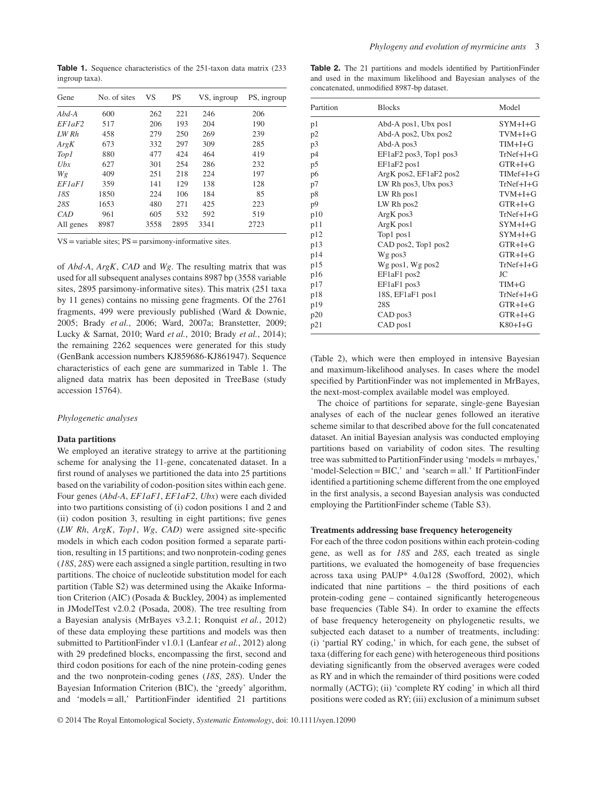**Table 1.** Sequence characteristics of the 251-taxon data matrix (233 ingroup taxa).

| Gene      | No. of sites | VS   | <b>PS</b> | VS, ingroup | PS, ingroup |  |  |
|-----------|--------------|------|-----------|-------------|-------------|--|--|
| $Abd-A$   | 600          | 262  | 221       | 246         | 206         |  |  |
| EF1aF2    | 517          | 206  | 193       | 204         | 190         |  |  |
| LWRh      | 458          | 279  | 250       | 269         | 239         |  |  |
| ArgK      | 673          | 332  | 297       | 309         | 285         |  |  |
| Top1      | 880          | 477  | 424       | 464         | 419         |  |  |
| Ubx       | 627          | 301  | 254       | 286         | 232         |  |  |
| Wg        | 409          | 251  | 218       | 224         | 197         |  |  |
| EF1aFI    | 359          | 141  | 129       | 138         | 128         |  |  |
| 18S       | 1850         | 224  | 106       | 184         | 85          |  |  |
| 285       | 1653         | 480  | 271       | 425         | 223         |  |  |
| CAD       | 961          | 605  | 532       | 592         | 519         |  |  |
| All genes | 8987         | 3558 | 2895      | 3341        | 2723        |  |  |

 $VS =$  variable sites;  $PS =$  parsimony-informative sites.

of *Abd-A*, *ArgK*, *CAD* and *Wg*. The resulting matrix that was used for all subsequent analyses contains 8987 bp (3558 variable sites, 2895 parsimony-informative sites). This matrix (251 taxa by 11 genes) contains no missing gene fragments. Of the 2761 fragments, 499 were previously published (Ward & Downie, 2005; Brady *et al.*, 2006; Ward, 2007a; Branstetter, 2009; Lucky & Sarnat, 2010; Ward *et al.*, 2010; Brady *et al.*, 2014); the remaining 2262 sequences were generated for this study (GenBank accession numbers KJ859686-KJ861947). Sequence characteristics of each gene are summarized in Table 1. The aligned data matrix has been deposited in TreeBase (study accession 15764).

## *Phylogenetic analyses*

#### **Data partitions**

We employed an iterative strategy to arrive at the partitioning scheme for analysing the 11-gene, concatenated dataset. In a first round of analyses we partitioned the data into 25 partitions based on the variability of codon-position sites within each gene. Four genes (*Abd-A*, *EF1aF1*, *EF1aF2*, *Ubx*) were each divided into two partitions consisting of (i) codon positions 1 and 2 and (ii) codon position 3, resulting in eight partitions; five genes (*LW Rh*, *ArgK*, *Top1*, *Wg*, *CAD*) were assigned site-specific models in which each codon position formed a separate partition, resulting in 15 partitions; and two nonprotein-coding genes (*18S*, *28S*) were each assigned a single partition, resulting in two partitions. The choice of nucleotide substitution model for each partition (Table S2) was determined using the Akaike Information Criterion (AIC) (Posada & Buckley, 2004) as implemented in JModelTest v2.0.2 (Posada, 2008). The tree resulting from a Bayesian analysis (MrBayes v3.2.1; Ronquist *et al.*, 2012) of these data employing these partitions and models was then submitted to PartitionFinder v1.0.1 (Lanfear *et al.*, 2012) along with 29 predefined blocks, encompassing the first, second and third codon positions for each of the nine protein-coding genes and the two nonprotein-coding genes (*18S*, *28S*). Under the Bayesian Information Criterion (BIC), the 'greedy' algorithm, and 'models=all,' PartitionFinder identified 21 partitions

**Table 2.** The 21 partitions and models identified by PartitionFinder and used in the maximum likelihood and Bayesian analyses of the concatenated, unmodified 8987-bp dataset.

| Partition      | <b>Blocks</b>            | Model       |
|----------------|--------------------------|-------------|
| p1             | Abd-A pos1, Ubx pos1     | SYM+I+G     |
| p2             | Abd-A pos2, Ubx pos2     | $TVM+I+G$   |
| p3             | Abd-A pos3               | $TIM+I+G$   |
| p4             | $EF1aF2$ pos3, Top1 pos3 | $TrNef+I+G$ |
| p5             | EF1aF2 pos1              | $GTR+I+G$   |
| p <sub>6</sub> | ArgK pos2, EF1aF2 pos2   | $TIMEf+I+G$ |
| p7             | LW Rh pos3, Ubx pos3     | $TrNef+I+G$ |
| p8             | $LW$ Rh $pos1$           | $TVM+I+G$   |
| p9             | LW Rh pos2               | $GTR+I+G$   |
| p10            | ArgK pos3                | $TrNef+I+G$ |
| p11            | $ArgK$ pos 1             | $SYM+I+G$   |
| p12            | Top1 pos1                | $SYM+I+G$   |
| p13            | CAD pos2, Top1 pos2      | $GTR+I+G$   |
| p14            | Wg pos3                  | $GTR+H+G$   |
| p15            | $Wg$ pos1, $Wg$ pos2     | $TrNef+I+G$ |
| p16            | EF1aF1 pos2              | JС          |
| p17            | EF1aF1 pos3              | $TIM+G$     |
| p18            | 18S, EF1aF1 pos1         | $TrNef+I+G$ |
| p19            | 28S                      | $GTR+H+G$   |
| p20            | $CAD$ pos $3$            | $GTR+I+G$   |
| p21            | $CAD$ pos $1$            | $K80+I+G$   |

(Table 2), which were then employed in intensive Bayesian and maximum-likelihood analyses. In cases where the model specified by PartitionFinder was not implemented in MrBayes, the next-most-complex available model was employed.

The choice of partitions for separate, single-gene Bayesian analyses of each of the nuclear genes followed an iterative scheme similar to that described above for the full concatenated dataset. An initial Bayesian analysis was conducted employing partitions based on variability of codon sites. The resulting tree was submitted to PartitionFinder using 'models= mrbayes,' 'model-Selection=BIC,' and 'search=all.' If PartitionFinder identified a partitioning scheme different from the one employed in the first analysis, a second Bayesian analysis was conducted employing the PartitionFinder scheme (Table S3).

#### **Treatments addressing base frequency heterogeneity**

For each of the three codon positions within each protein-coding gene, as well as for *18S* and *28S*, each treated as single partitions, we evaluated the homogeneity of base frequencies across taxa using PAUP\* 4.0a128 (Swofford, 2002), which indicated that nine partitions – the third positions of each protein-coding gene – contained significantly heterogeneous base frequencies (Table S4). In order to examine the effects of base frequency heterogeneity on phylogenetic results, we subjected each dataset to a number of treatments, including: (i) 'partial RY coding,' in which, for each gene, the subset of taxa (differing for each gene) with heterogeneous third positions deviating significantly from the observed averages were coded as RY and in which the remainder of third positions were coded normally (ACTG); (ii) 'complete RY coding' in which all third positions were coded as RY; (iii) exclusion of a minimum subset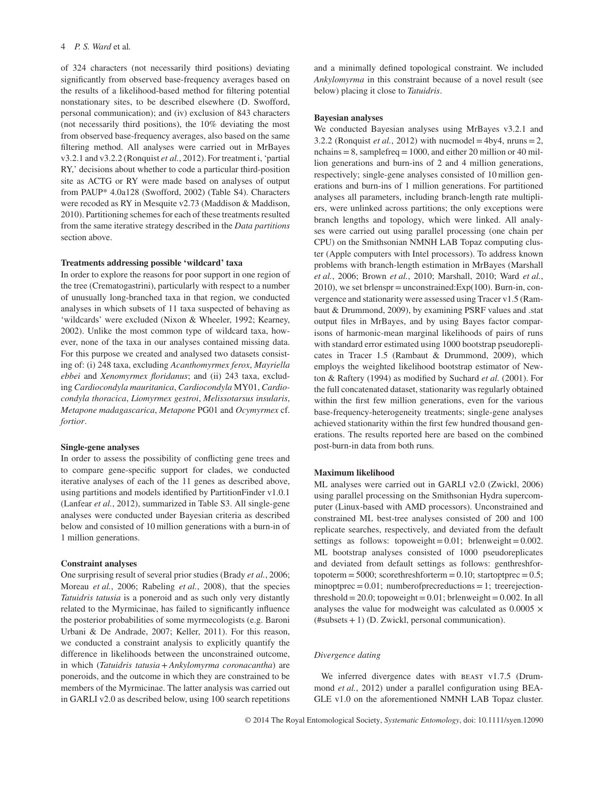# 4 *P. S. Ward* et al*.*

of 324 characters (not necessarily third positions) deviating significantly from observed base-frequency averages based on the results of a likelihood-based method for filtering potential nonstationary sites, to be described elsewhere (D. Swofford, personal communication); and (iv) exclusion of 843 characters (not necessarily third positions), the 10% deviating the most from observed base-frequency averages, also based on the same filtering method. All analyses were carried out in MrBayes v3.2.1 and v3.2.2 (Ronquist *et al.*, 2012). For treatment i, 'partial RY,' decisions about whether to code a particular third-position site as ACTG or RY were made based on analyses of output from PAUP\* 4.0a128 (Swofford, 2002) (Table S4). Characters were recoded as RY in Mesquite v2.73 (Maddison & Maddison, 2010). Partitioning schemes for each of these treatments resulted from the same iterative strategy described in the *Data partitions* section above.

## **Treatments addressing possible 'wildcard' taxa**

In order to explore the reasons for poor support in one region of the tree (Crematogastrini), particularly with respect to a number of unusually long-branched taxa in that region, we conducted analyses in which subsets of 11 taxa suspected of behaving as 'wildcards' were excluded (Nixon & Wheeler, 1992; Kearney, 2002). Unlike the most common type of wildcard taxa, however, none of the taxa in our analyses contained missing data. For this purpose we created and analysed two datasets consisting of: (i) 248 taxa, excluding *Acanthomyrmex ferox*, *Mayriella ebbei* and *Xenomyrmex floridanus*; and (ii) 243 taxa, excluding *Cardiocondyla mauritanica*, *Cardiocondyla* MY01, *Cardiocondyla thoracica*, *Liomyrmex gestroi*, *Melissotarsus insularis*, *Metapone madagascarica*, *Metapone* PG01 and *Ocymyrmex* cf. *fortior*.

#### **Single-gene analyses**

In order to assess the possibility of conflicting gene trees and to compare gene-specific support for clades, we conducted iterative analyses of each of the 11 genes as described above, using partitions and models identified by PartitionFinder v1.0.1 (Lanfear *et al.*, 2012), summarized in Table S3. All single-gene analyses were conducted under Bayesian criteria as described below and consisted of 10 million generations with a burn-in of 1 million generations.

#### **Constraint analyses**

One surprising result of several prior studies (Brady *et al.*, 2006; Moreau *et al.*, 2006; Rabeling *et al.*, 2008), that the species *Tatuidris tatusia* is a poneroid and as such only very distantly related to the Myrmicinae, has failed to significantly influence the posterior probabilities of some myrmecologists (e.g. Baroni Urbani & De Andrade, 2007; Keller, 2011). For this reason, we conducted a constraint analysis to explicitly quantify the difference in likelihoods between the unconstrained outcome, in which (*Tatuidris tatusia*+*Ankylomyrma coronacantha*) are poneroids, and the outcome in which they are constrained to be members of the Myrmicinae. The latter analysis was carried out in GARLI v2.0 as described below, using 100 search repetitions

and a minimally defined topological constraint. We included *Ankylomyrma* in this constraint because of a novel result (see below) placing it close to *Tatuidris*.

# **Bayesian analyses**

We conducted Bayesian analyses using MrBayes v3.2.1 and 3.2.2 (Ronquist *et al.*, 2012) with nucmodel = 4by4, nruns = 2, nchains = 8, samplefreq = 1000, and either 20 million or 40 million generations and burn-ins of 2 and 4 million generations, respectively; single-gene analyses consisted of 10 million generations and burn-ins of 1 million generations. For partitioned analyses all parameters, including branch-length rate multipliers, were unlinked across partitions; the only exceptions were branch lengths and topology, which were linked. All analyses were carried out using parallel processing (one chain per CPU) on the Smithsonian NMNH LAB Topaz computing cluster (Apple computers with Intel processors). To address known problems with branch-length estimation in MrBayes (Marshall *et al.*, 2006; Brown *et al.*, 2010; Marshall, 2010; Ward *et al.*,  $2010$ ), we set brlenspr = unconstrained:Exp(100). Burn-in, convergence and stationarity were assessed using Tracer v1.5 (Rambaut & Drummond, 2009), by examining PSRF values and .stat output files in MrBayes, and by using Bayes factor comparisons of harmonic-mean marginal likelihoods of pairs of runs with standard error estimated using 1000 bootstrap pseudoreplicates in Tracer 1.5 (Rambaut & Drummond, 2009), which employs the weighted likelihood bootstrap estimator of Newton & Raftery (1994) as modified by Suchard *et al.* (2001). For the full concatenated dataset, stationarity was regularly obtained within the first few million generations, even for the various base-frequency-heterogeneity treatments; single-gene analyses achieved stationarity within the first few hundred thousand generations. The results reported here are based on the combined post-burn-in data from both runs.

#### **Maximum likelihood**

ML analyses were carried out in GARLI v2.0 (Zwickl, 2006) using parallel processing on the Smithsonian Hydra supercomputer (Linux-based with AMD processors). Unconstrained and constrained ML best-tree analyses consisted of 200 and 100 replicate searches, respectively, and deviated from the default settings as follows: topoweight=0.01; brlenweight=0.002. ML bootstrap analyses consisted of 1000 pseudoreplicates and deviated from default settings as follows: genthreshfor $topoterm = 5000$ ; scorethreshforterm = 0.10; startoptprec = 0.5; minoptprec =  $0.01$ ; numberofprecreductions = 1; treerejectionthreshold = 20.0; topoweight = 0.01; brlenweight = 0.002. In all analyses the value for modweight was calculated as  $0.0005 \times$ (#subsets+1) (D. Zwickl, personal communication).

#### *Divergence dating*

We inferred divergence dates with BEAST v1.7.5 (Drummond *et al.*, 2012) under a parallel configuration using BEA-GLE v1.0 on the aforementioned NMNH LAB Topaz cluster.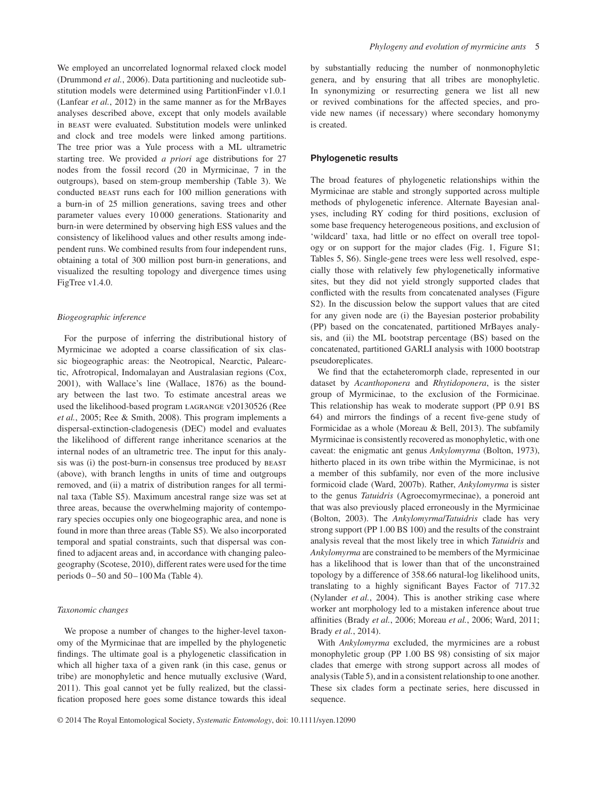We employed an uncorrelated lognormal relaxed clock model (Drummond *et al.*, 2006). Data partitioning and nucleotide substitution models were determined using PartitionFinder v1.0.1 (Lanfear *et al.*, 2012) in the same manner as for the MrBayes analyses described above, except that only models available in beast were evaluated. Substitution models were unlinked and clock and tree models were linked among partitions. The tree prior was a Yule process with a ML ultrametric starting tree. We provided *a priori* age distributions for 27 nodes from the fossil record (20 in Myrmicinae, 7 in the outgroups), based on stem-group membership (Table 3). We conducted beast runs each for 100 million generations with a burn-in of 25 million generations, saving trees and other parameter values every 10 000 generations. Stationarity and burn-in were determined by observing high ESS values and the consistency of likelihood values and other results among independent runs. We combined results from four independent runs, obtaining a total of 300 million post burn-in generations, and visualized the resulting topology and divergence times using FigTree v1.4.0.

## *Biogeographic inference*

For the purpose of inferring the distributional history of Myrmicinae we adopted a coarse classification of six classic biogeographic areas: the Neotropical, Nearctic, Palearctic, Afrotropical, Indomalayan and Australasian regions (Cox, 2001), with Wallace's line (Wallace, 1876) as the boundary between the last two. To estimate ancestral areas we used the likelihood-based program lagrange v20130526 (Ree *et al.*, 2005; Ree & Smith, 2008). This program implements a dispersal-extinction-cladogenesis (DEC) model and evaluates the likelihood of different range inheritance scenarios at the internal nodes of an ultrametric tree. The input for this analysis was (i) the post-burn-in consensus tree produced by BEAST (above), with branch lengths in units of time and outgroups removed, and (ii) a matrix of distribution ranges for all terminal taxa (Table S5). Maximum ancestral range size was set at three areas, because the overwhelming majority of contemporary species occupies only one biogeographic area, and none is found in more than three areas (Table S5). We also incorporated temporal and spatial constraints, such that dispersal was confined to adjacent areas and, in accordance with changing paleogeography (Scotese, 2010), different rates were used for the time periods 0–50 and 50–100 Ma (Table 4).

#### *Taxonomic changes*

We propose a number of changes to the higher-level taxonomy of the Myrmicinae that are impelled by the phylogenetic findings. The ultimate goal is a phylogenetic classification in which all higher taxa of a given rank (in this case, genus or tribe) are monophyletic and hence mutually exclusive (Ward, 2011). This goal cannot yet be fully realized, but the classification proposed here goes some distance towards this ideal by substantially reducing the number of nonmonophyletic genera, and by ensuring that all tribes are monophyletic. In synonymizing or resurrecting genera we list all new or revived combinations for the affected species, and provide new names (if necessary) where secondary homonymy is created.

## **Phylogenetic results**

The broad features of phylogenetic relationships within the Myrmicinae are stable and strongly supported across multiple methods of phylogenetic inference. Alternate Bayesian analyses, including RY coding for third positions, exclusion of some base frequency heterogeneous positions, and exclusion of 'wildcard' taxa, had little or no effect on overall tree topology or on support for the major clades (Fig. 1, Figure S1; Tables 5, S6). Single-gene trees were less well resolved, especially those with relatively few phylogenetically informative sites, but they did not yield strongly supported clades that conflicted with the results from concatenated analyses (Figure S2). In the discussion below the support values that are cited for any given node are (i) the Bayesian posterior probability (PP) based on the concatenated, partitioned MrBayes analysis, and (ii) the ML bootstrap percentage (BS) based on the concatenated, partitioned GARLI analysis with 1000 bootstrap pseudoreplicates.

We find that the ectaheteromorph clade, represented in our dataset by *Acanthoponera* and *Rhytidoponera*, is the sister group of Myrmicinae, to the exclusion of the Formicinae. This relationship has weak to moderate support (PP 0.91 BS 64) and mirrors the findings of a recent five-gene study of Formicidae as a whole (Moreau & Bell, 2013). The subfamily Myrmicinae is consistently recovered as monophyletic, with one caveat: the enigmatic ant genus *Ankylomyrma* (Bolton, 1973), hitherto placed in its own tribe within the Myrmicinae, is not a member of this subfamily, nor even of the more inclusive formicoid clade (Ward, 2007b). Rather, *Ankylomyrma* is sister to the genus *Tatuidris* (Agroecomyrmecinae), a poneroid ant that was also previously placed erroneously in the Myrmicinae (Bolton, 2003). The *Ankylomyrma*/*Tatuidris* clade has very strong support (PP 1.00 BS 100) and the results of the constraint analysis reveal that the most likely tree in which *Tatuidris* and *Ankylomyrma* are constrained to be members of the Myrmicinae has a likelihood that is lower than that of the unconstrained topology by a difference of 358.66 natural-log likelihood units, translating to a highly significant Bayes Factor of 717.32 (Nylander *et al.*, 2004). This is another striking case where worker ant morphology led to a mistaken inference about true affinities (Brady *et al.*, 2006; Moreau *et al.*, 2006; Ward, 2011; Brady *et al.*, 2014).

With *Ankylomyrma* excluded, the myrmicines are a robust monophyletic group (PP 1.00 BS 98) consisting of six major clades that emerge with strong support across all modes of analysis (Table 5), and in a consistent relationship to one another. These six clades form a pectinate series, here discussed in sequence.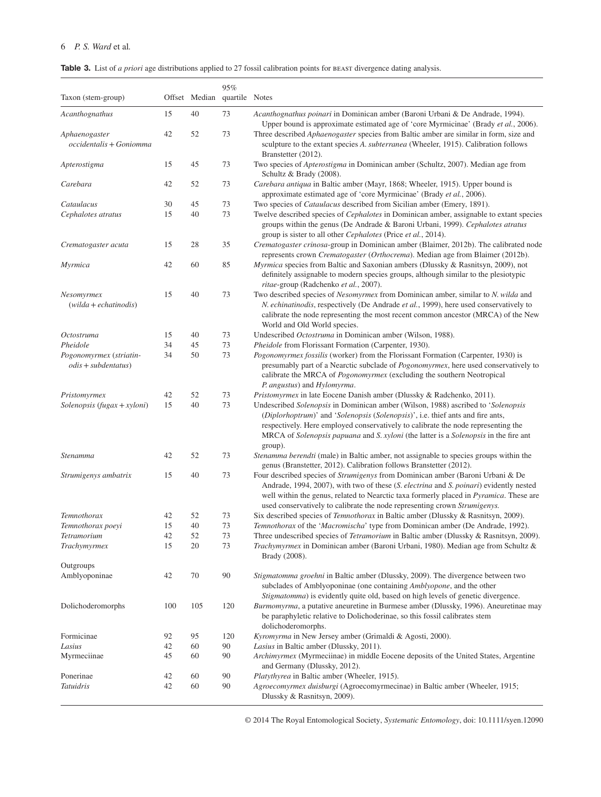|  |  | Table 3. List of a priori age distributions applied to 27 fossil calibration points for BEAST divergence dating analysis. |  |  |  |
|--|--|---------------------------------------------------------------------------------------------------------------------------|--|--|--|
|--|--|---------------------------------------------------------------------------------------------------------------------------|--|--|--|

|                                                  |          |                              | 95%      |                                                                                                                                                                                                                                                                                                                                                                                                                                     |
|--------------------------------------------------|----------|------------------------------|----------|-------------------------------------------------------------------------------------------------------------------------------------------------------------------------------------------------------------------------------------------------------------------------------------------------------------------------------------------------------------------------------------------------------------------------------------|
| Taxon (stem-group)                               |          | Offset Median quartile Notes |          |                                                                                                                                                                                                                                                                                                                                                                                                                                     |
| Acanthognathus                                   | 15       | 40                           | 73       | Acanthognathus poinari in Dominican amber (Baroni Urbani & De Andrade, 1994).<br>Upper bound is approximate estimated age of 'core Myrmicinae' (Brady et al., 2006).                                                                                                                                                                                                                                                                |
| Aphaenogaster<br>occidentalis + Goniomma         | 42       | 52                           | 73       | Three described <i>Aphaenogaster</i> species from Baltic amber are similar in form, size and<br>sculpture to the extant species A. subterranea (Wheeler, 1915). Calibration follows<br>Branstetter (2012).                                                                                                                                                                                                                          |
| Apterostigma                                     | 15       | 45                           | 73       | Two species of <i>Apterostigma</i> in Dominican amber (Schultz, 2007). Median age from<br>Schultz & Brady $(2008)$ .                                                                                                                                                                                                                                                                                                                |
| Carebara                                         | 42       | 52                           | 73       | Carebara antiqua in Baltic amber (Mayr, 1868; Wheeler, 1915). Upper bound is<br>approximate estimated age of 'core Myrmicinae' (Brady et al., 2006).                                                                                                                                                                                                                                                                                |
| Cataulacus                                       | 30       | 45                           | 73       | Two species of <i>Cataulacus</i> described from Sicilian amber (Emery, 1891).                                                                                                                                                                                                                                                                                                                                                       |
| Cephalotes atratus                               | 15       | 40                           | 73       | Twelve described species of <i>Cephalotes</i> in Dominican amber, assignable to extant species<br>groups within the genus (De Andrade & Baroni Urbani, 1999). Cephalotes atratus<br>group is sister to all other Cephalotes (Price et al., 2014).                                                                                                                                                                                   |
| Crematogaster acuta                              | 15       | 28                           | 35       | Crematogaster crinosa-group in Dominican amber (Blaimer, 2012b). The calibrated node<br>represents crown Crematogaster (Orthocrema). Median age from Blaimer (2012b).                                                                                                                                                                                                                                                               |
| Myrmica                                          | 42       | 60                           | 85       | <i>Myrmica</i> species from Baltic and Saxonian ambers (Dlussky & Rasnitsyn, 2009), not<br>definitely assignable to modern species groups, although similar to the plesiotypic<br><i>ritae-group</i> (Radchenko et al., 2007).                                                                                                                                                                                                      |
| Nesomyrmex<br>$(wilda + echatinodis)$            | 15       | 40                           | 73       | Two described species of Nesomyrmex from Dominican amber, similar to N. wilda and<br><i>N. echinatinodis, respectively (De Andrade et al., 1999), here used conservatively to</i><br>calibrate the node representing the most recent common ancestor (MRCA) of the New<br>World and Old World species.                                                                                                                              |
| Octostruma                                       | 15       | 40                           | 73       | Undescribed Octostruma in Dominican amber (Wilson, 1988).                                                                                                                                                                                                                                                                                                                                                                           |
| Pheidole                                         | 34       | 45                           | 73       | Pheidole from Florissant Formation (Carpenter, 1930).                                                                                                                                                                                                                                                                                                                                                                               |
| Pogonomyrmex (striatin-<br>$odis + subdentatus)$ | 34       | 50                           | 73       | Pogonomyrmex fossilis (worker) from the Florissant Formation (Carpenter, 1930) is<br>presumably part of a Nearctic subclade of <i>Pogonomyrmex</i> , here used conservatively to<br>calibrate the MRCA of <i>Pogonomyrmex</i> (excluding the southern Neotropical<br>P. angustus) and Hylomyrma.                                                                                                                                    |
| Pristomyrmex<br>Solenopsis (fugax + xyloni)      | 42<br>15 | 52<br>40                     | 73<br>73 | Pristomyrmex in late Eocene Danish amber (Dlussky & Radchenko, 2011).<br>Undescribed Solenopsis in Dominican amber (Wilson, 1988) ascribed to 'Solenopsis<br>(Diplorhoptrum)' and 'Solenopsis (Solenopsis)', i.e. thief ants and fire ants,<br>respectively. Here employed conservatively to calibrate the node representing the<br>MRCA of Solenopsis papuana and S. xyloni (the latter is a Solenopsis in the fire ant<br>group). |
| Stenamma                                         | 42       | 52                           | 73       | Stenamma berendti (male) in Baltic amber, not assignable to species groups within the<br>genus (Branstetter, 2012). Calibration follows Branstetter (2012).                                                                                                                                                                                                                                                                         |
| Strumigenys ambatrix                             | 15       | 40                           | 73       | Four described species of <i>Strumigenys</i> from Dominican amber (Baroni Urbani & De<br>Andrade, 1994, 2007), with two of these (S. <i>electrina</i> and S. <i>poinari</i> ) evidently nested<br>well within the genus, related to Nearctic taxa formerly placed in <i>Pyramica</i> . These are<br>used conservatively to calibrate the node representing crown <i>Strumigenys</i> .                                               |
| Temnothorax                                      | 42       | 52                           | 73       | Six described species of <i>Temnothorax</i> in Baltic amber (Dlussky & Rasnitsyn, 2009).                                                                                                                                                                                                                                                                                                                                            |
| Temnothorax poeyi                                | 15       | 40                           | 73       | Temnothorax of the 'Macromischa' type from Dominican amber (De Andrade, 1992).                                                                                                                                                                                                                                                                                                                                                      |
| Tetramorium                                      | 42       | 52                           | 73       | Three undescribed species of <i>Tetramorium</i> in Baltic amber (Dlussky & Rasnitsyn, 2009).                                                                                                                                                                                                                                                                                                                                        |
| Trachymyrmex                                     | 15       | 20                           | 73       | Trachymyrmex in Dominican amber (Baroni Urbani, 1980). Median age from Schultz &<br>Brady (2008).                                                                                                                                                                                                                                                                                                                                   |
| Outgroups                                        |          |                              |          |                                                                                                                                                                                                                                                                                                                                                                                                                                     |
| Amblyoponinae                                    | 42       | 70                           | 90       | Stigmatomma groehni in Baltic amber (Dlussky, 2009). The divergence between two<br>subclades of Amblyoponinae (one containing Amblyopone, and the other<br>Stigmatomma) is evidently quite old, based on high levels of genetic divergence.                                                                                                                                                                                         |
| Dolichoderomorphs                                | 100      | 105                          | 120      | Burmomyrma, a putative aneuretine in Burmese amber (Dlussky, 1996). Aneuretinae may<br>be paraphyletic relative to Dolichoderinae, so this fossil calibrates stem<br>dolichoderomorphs.                                                                                                                                                                                                                                             |
| Formicinae                                       | 92       | 95                           | 120      | Kyromyrma in New Jersey amber (Grimaldi & Agosti, 2000).                                                                                                                                                                                                                                                                                                                                                                            |
| Lasius                                           | 42       | 60                           | 90       | Lasius in Baltic amber (Dlussky, 2011).                                                                                                                                                                                                                                                                                                                                                                                             |
| Myrmeciinae                                      | 45       | 60                           | 90       | Archimyrmex (Myrmeciinae) in middle Eocene deposits of the United States, Argentine<br>and Germany (Dlussky, 2012).                                                                                                                                                                                                                                                                                                                 |
| Ponerinae                                        | 42       | 60                           | 90       | Platythyrea in Baltic amber (Wheeler, 1915).                                                                                                                                                                                                                                                                                                                                                                                        |
| <b>Tatuidris</b>                                 | 42       | 60                           | 90       | Agroecomyrmex duisburgi (Agroecomyrmecinae) in Baltic amber (Wheeler, 1915;<br>Dlussky & Rasnitsyn, 2009).                                                                                                                                                                                                                                                                                                                          |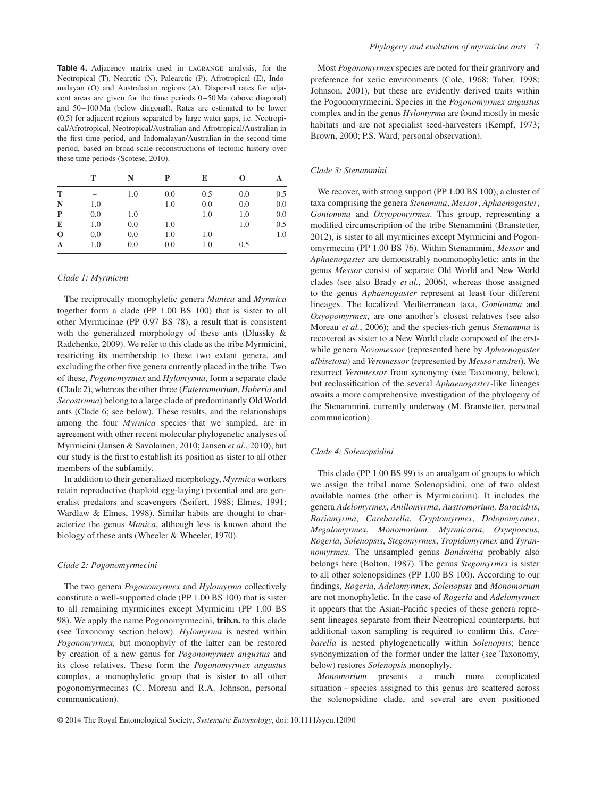**Table 4.** Adjacency matrix used in lagrange analysis, for the Neotropical (T), Nearctic (N), Palearctic (P), Afrotropical (E), Indomalayan (O) and Australasian regions (A). Dispersal rates for adjacent areas are given for the time periods 0–50 Ma (above diagonal) and 50–100 Ma (below diagonal). Rates are estimated to be lower (0.5) for adjacent regions separated by large water gaps, i.e. Neotropical/Afrotropical, Neotropical/Australian and Afrotropical/Australian in the first time period, and Indomalayan/Australian in the second time period, based on broad-scale reconstructions of tectonic history over these time periods (Scotese, 2010).

|              | т   | N   | P   | E   | O   | A   |
|--------------|-----|-----|-----|-----|-----|-----|
| T            |     | 1.0 | 0.0 | 0.5 | 0.0 | 0.5 |
| N            | 1.0 |     | 1.0 | 0.0 | 0.0 | 0.0 |
| P            | 0.0 | 1.0 |     | 1.0 | 1.0 | 0.0 |
| E            | 1.0 | 0.0 | 1.0 |     | 1.0 | 0.5 |
| $\mathbf 0$  | 0.0 | 0.0 | 1.0 | 1.0 |     | 1.0 |
| $\mathbf{A}$ | 1.0 | 0.0 | 0.0 | 1.0 | 0.5 |     |

#### *Clade 1: Myrmicini*

The reciprocally monophyletic genera *Manica* and *Myrmica* together form a clade (PP 1.00 BS 100) that is sister to all other Myrmicinae (PP 0.97 BS 78), a result that is consistent with the generalized morphology of these ants (Dlussky & Radchenko, 2009). We refer to this clade as the tribe Myrmicini, restricting its membership to these two extant genera, and excluding the other five genera currently placed in the tribe. Two of these, *Pogonomyrmex* and *Hylomyrma*, form a separate clade (Clade 2), whereas the other three (*Eutetramorium*, *Huberia* and *Secostruma*) belong to a large clade of predominantly Old World ants (Clade 6; see below). These results, and the relationships among the four *Myrmica* species that we sampled, are in agreement with other recent molecular phylogenetic analyses of Myrmicini (Jansen & Savolainen, 2010; Jansen *et al.*, 2010), but our study is the first to establish its position as sister to all other members of the subfamily.

In addition to their generalized morphology, *Myrmica* workers retain reproductive (haploid egg-laying) potential and are generalist predators and scavengers (Seifert, 1988; Elmes, 1991; Wardlaw & Elmes, 1998). Similar habits are thought to characterize the genus *Manica*, although less is known about the biology of these ants (Wheeler & Wheeler, 1970).

## *Clade 2: Pogonomyrmecini*

The two genera *Pogonomyrmex* and *Hylomyrma* collectively constitute a well-supported clade (PP 1.00 BS 100) that is sister to all remaining myrmicines except Myrmicini (PP 1.00 BS 98). We apply the name Pogonomyrmecini, **trib.n.** to this clade (see Taxonomy section below). *Hylomyrma* is nested within *Pogonomyrmex,* but monophyly of the latter can be restored by creation of a new genus for *Pogonomyrmex angustus* and its close relatives. These form the *Pogonomyrmex angustus* complex, a monophyletic group that is sister to all other pogonomyrmecines (C. Moreau and R.A. Johnson, personal communication).

Most *Pogonomyrmex* species are noted for their granivory and preference for xeric environments (Cole, 1968; Taber, 1998; Johnson, 2001), but these are evidently derived traits within the Pogonomyrmecini. Species in the *Pogonomyrmex angustus* complex and in the genus *Hylomyrma* are found mostly in mesic habitats and are not specialist seed-harvesters (Kempf, 1973; Brown, 2000; P.S. Ward, personal observation).

# *Clade 3: Stenammini*

We recover, with strong support (PP 1.00 BS 100), a cluster of taxa comprising the genera *Stenamma*, *Messor*, *Aphaenogaster*, *Goniomma* and *Oxyopomyrmex*. This group, representing a modified circumscription of the tribe Stenammini (Branstetter, 2012), is sister to all myrmicines except Myrmicini and Pogonomyrmecini (PP 1.00 BS 76). Within Stenammini, *Messor* and *Aphaenogaster* are demonstrably nonmonophyletic: ants in the genus *Messor* consist of separate Old World and New World clades (see also Brady *et al.*, 2006), whereas those assigned to the genus *Aphaenogaster* represent at least four different lineages. The localized Mediterranean taxa, *Goniomma* and *Oxyopomyrmex*, are one another's closest relatives (see also Moreau *et al.*, 2006); and the species-rich genus *Stenamma* is recovered as sister to a New World clade composed of the erstwhile genera *Novomessor* (represented here by *Aphaenogaster albisetosa*) and *Veromessor* (represented by *Messor andrei*). We resurrect *Veromessor* from synonymy (see Taxonomy, below), but reclassification of the several *Aphaenogaster*-like lineages awaits a more comprehensive investigation of the phylogeny of the Stenammini, currently underway (M. Branstetter, personal communication).

## *Clade 4: Solenopsidini*

This clade (PP 1.00 BS 99) is an amalgam of groups to which we assign the tribal name Solenopsidini, one of two oldest available names (the other is Myrmicariini). It includes the genera *Adelomyrmex*, *Anillomyrma*, *Austromorium, Baracidris*, *Bariamyrma*, *Carebarella*, *Cryptomyrmex*, *Dolopomyrmex*, *Megalomyrmex*, *Monomorium, Myrmicaria*, *Oxyepoecus*, *Rogeria*, *Solenopsis*, *Stegomyrmex*, *Tropidomyrmex* and *Tyrannomyrmex*. The unsampled genus *Bondroitia* probably also belongs here (Bolton, 1987). The genus *Stegomyrmex* is sister to all other solenopsidines (PP 1.00 BS 100). According to our findings, *Rogeria*, *Adelomyrmex*, *Solenopsis* and *Monomorium* are not monophyletic. In the case of *Rogeria* and *Adelomyrmex* it appears that the Asian-Pacific species of these genera represent lineages separate from their Neotropical counterparts, but additional taxon sampling is required to confirm this. *Carebarella* is nested phylogenetically within *Solenopsis*; hence synonymization of the former under the latter (see Taxonomy, below) restores *Solenopsis* monophyly.

*Monomorium* presents a much more complicated situation – species assigned to this genus are scattered across the solenopsidine clade, and several are even positioned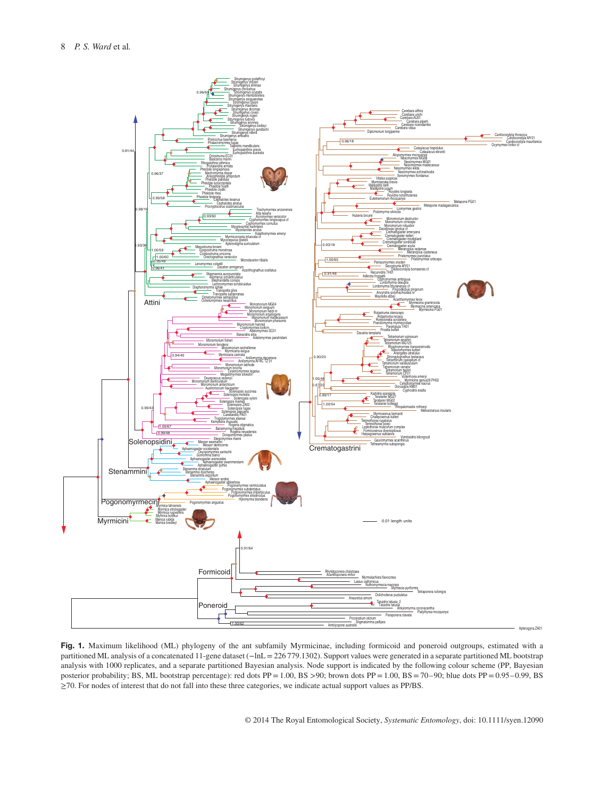

**Fig. 1.** Maximum likelihood (ML) phylogeny of the ant subfamily Myrmicinae, including formicoid and poneroid outgroups, estimated with a partitioned ML analysis of a concatenated 11-gene dataset (-lnL = 226 779.1302). Support values were generated in a separate partitioned ML bootstrap analysis with 1000 replicates, and a separate partitioned Bayesian analysis. Node support is indicated by the following colour scheme (PP, Bayesian posterior probability; BS, ML bootstrap percentage): red dots PP=1.00, BS *>*90; brown dots PP=1.00, BS=70–90; blue dots PP=0.95–0.99, BS ≥70. For nodes of interest that do not fall into these three categories, we indicate actual support values as PP/BS.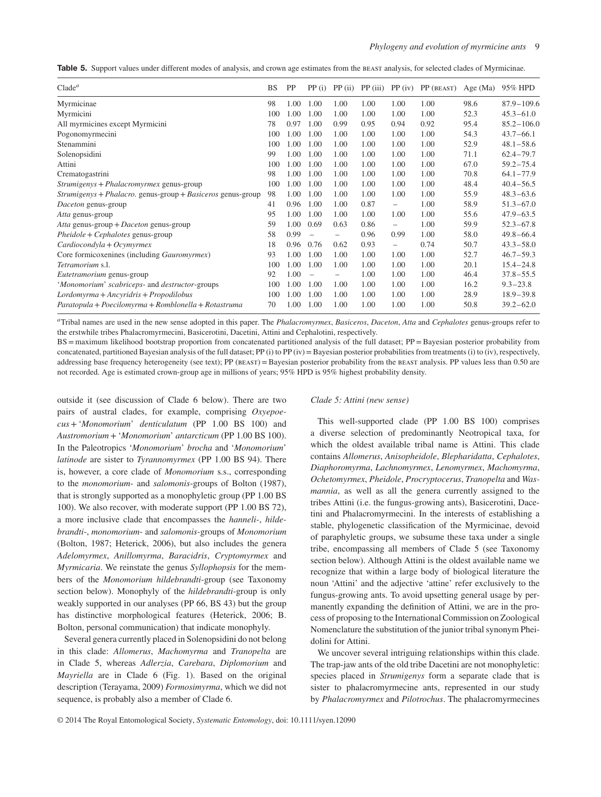Table 5. Support values under different modes of analysis, and crown age estimates from the BEAST analysis, for selected clades of Myrmicinae.

| $C$ lade <sup>a</sup>                                         | <b>BS</b> | PP   | PP(i)                    |                          |      |                          | $PP(ii)$ $PP(iii)$ $PP(iv)$ $PP (BEAST)$ | Age (Ma) | 95% HPD        |
|---------------------------------------------------------------|-----------|------|--------------------------|--------------------------|------|--------------------------|------------------------------------------|----------|----------------|
| Myrmicinae                                                    | 98        | 1.00 | 1.00                     | 1.00                     | 1.00 | 1.00                     | 1.00                                     | 98.6     | $87.9 - 109.6$ |
| Myrmicini                                                     | 100       | 1.00 | 1.00                     | 1.00                     | 1.00 | 1.00                     | 1.00                                     | 52.3     | $45.3 - 61.0$  |
| All myrmicines except Myrmicini                               | 78        | 0.97 | 1.00                     | 0.99                     | 0.95 | 0.94                     | 0.92                                     | 95.4     | $85.2 - 106.0$ |
| Pogonomyrmecini                                               | 100       | 1.00 | 1.00                     | 1.00                     | 1.00 | 1.00                     | 1.00                                     | 54.3     | $43.7 - 66.1$  |
| Stenammini                                                    | 100       | 1.00 | 1.00                     | 1.00                     | 1.00 | 1.00                     | 1.00                                     | 52.9     | $48.1 - 58.6$  |
| Solenopsidini                                                 | 99        | 1.00 | 1.00                     | 1.00                     | 1.00 | 1.00                     | 1.00                                     | 71.1     | $62.4 - 79.7$  |
| Attini                                                        | 100       | 1.00 | 1.00                     | 1.00                     | 1.00 | 1.00                     | 1.00                                     | 67.0     | $59.2 - 75.4$  |
| Crematogastrini                                               | 98        | 1.00 | 1.00                     | 1.00                     | 1.00 | 1.00                     | 1.00                                     | 70.8     | $64.1 - 77.9$  |
| Strumigenys + Phalacromyrmex genus-group                      | 100       | 1.00 | 1.00                     | 1.00                     | 1.00 | 1.00                     | 1.00                                     | 48.4     | $40.4 - 56.5$  |
| $Strumigenys + Phalagro. genus-group + Basiceros genus-group$ | 98        | 1.00 | 1.00                     | 1.00                     | 1.00 | 1.00                     | 1.00                                     | 55.9     | $48.3 - 63.6$  |
| Daceton genus-group                                           | 41        | 0.96 | 1.00                     | 1.00                     | 0.87 | $\overline{\phantom{0}}$ | 1.00                                     | 58.9     | $51.3 - 67.0$  |
| <i>Atta</i> genus-group                                       | 95        | 1.00 | 1.00                     | 1.00                     | 1.00 | 1.00                     | 1.00                                     | 55.6     | $47.9 - 63.5$  |
| Atta genus-group + Daceton genus-group                        | 59        | 1.00 | 0.69                     | 0.63                     | 0.86 | $\overline{\phantom{0}}$ | 1.00                                     | 59.9     | $52.3 - 67.8$  |
| $Pheidole + Cephalotes$ genus-group                           | 58        | 0.99 | $\overline{\phantom{0}}$ | -                        | 0.96 | 0.99                     | 1.00                                     | 58.0     | $49.8 - 66.4$  |
| $Cardiocondyla + Ocymyrmex$                                   | 18        | 0.96 | 0.76                     | 0.62                     | 0.93 | $\qquad \qquad -$        | 0.74                                     | 50.7     | $43.3 - 58.0$  |
| Core formicoxenines (including <i>Gauromyrmex</i> )           | 93        | 1.00 | 1.00                     | 1.00                     | 1.00 | 1.00                     | 1.00                                     | 52.7     | $46.7 - 59.3$  |
| Tetramorium s.l.                                              | 100       | 1.00 | 1.00                     | 1.00                     | 1.00 | 1.00                     | 1.00                                     | 20.1     | $15.4 - 24.8$  |
| Eutetramorium genus-group                                     | 92        | 1.00 | $\overline{\phantom{0}}$ | $\overline{\phantom{0}}$ | 1.00 | 1.00                     | 1.00                                     | 46.4     | $37.8 - 55.5$  |
| 'Monomorium' scabriceps- and destructor-groups                | 100       | 1.00 | 1.00                     | 1.00                     | 1.00 | 1.00                     | 1.00                                     | 16.2     | $9.3 - 23.8$   |
| Lordomyrma + Ancyridris + Propodilobus                        | 100       | 1.00 | 1.00                     | 1.00                     | 1.00 | 1.00                     | 1.00                                     | 28.9     | $18.9 - 39.8$  |
| Paratopula + Poecilomyrma + Romblonella + Rotastruma          | 70        | 1.00 | 1.00                     | 1.00                     | 1.00 | 1.00                     | 1.00                                     | 50.8     | $39.2 - 62.0$  |

*<sup>a</sup>*Tribal names are used in the new sense adopted in this paper. The *Phalacromyrmex*, *Basiceros*, *Daceton*, *Atta* and *Cephalotes* genus-groups refer to the erstwhile tribes Phalacromyrmecini, Basicerotini, Dacetini, Attini and Cephalotini, respectively.

BS= maximum likelihood bootstrap proportion from concatenated partitioned analysis of the full dataset; PP =Bayesian posterior probability from concatenated, partitioned Bayesian analysis of the full dataset; PP (i) to PP (iv) = Bayesian posterior probabilities from treatments (i) to (iv), respectively, addressing base frequency heterogeneity (see text); PP (BEAST) = Bayesian posterior probability from the BEAST analysis. PP values less than 0.50 are not recorded. Age is estimated crown-group age in millions of years; 95% HPD is 95% highest probability density.

outside it (see discussion of Clade 6 below). There are two pairs of austral clades, for example, comprising *Oxyepoecus*+'*Monomorium*' *denticulatum* (PP 1.00 BS 100) and *Austromorium* +'*Monomorium*' *antarcticum* (PP 1.00 BS 100). In the Paleotropics '*Monomorium*' *brocha* and '*Monomorium*' *latinode* are sister to *Tyrannomyrmex* (PP 1.00 BS 94). There is, however, a core clade of *Monomorium* s.s., corresponding to the *monomorium*- and *salomonis*-groups of Bolton (1987), that is strongly supported as a monophyletic group (PP 1.00 BS 100). We also recover, with moderate support (PP 1.00 BS 72), a more inclusive clade that encompasses the *hanneli*-, *hildebrandti*-, *monomorium*- and *salomonis*-groups of *Monomorium* (Bolton, 1987; Heterick, 2006), but also includes the genera *Adelomyrmex*, *Anillomyrma*, *Baracidris*, *Cryptomyrmex* and *Myrmicaria*. We reinstate the genus *Syllophopsis* for the members of the *Monomorium hildebrandti*-group (see Taxonomy section below). Monophyly of the *hildebrandti*-group is only weakly supported in our analyses (PP 66, BS 43) but the group has distinctive morphological features (Heterick, 2006; B. Bolton, personal communication) that indicate monophyly.

Several genera currently placed in Solenopsidini do not belong in this clade: *Allomerus*, *Machomyrma* and *Tranopelta* are in Clade 5, whereas *Adlerzia*, *Carebara*, *Diplomorium* and *Mayriella* are in Clade 6 (Fig. 1). Based on the original description (Terayama, 2009) *Formosimyrma*, which we did not sequence, is probably also a member of Clade 6.

#### *Clade 5: Attini (new sense)*

This well-supported clade (PP 1.00 BS 100) comprises a diverse selection of predominantly Neotropical taxa, for which the oldest available tribal name is Attini. This clade contains *Allomerus*, *Anisopheidole*, *Blepharidatta*, *Cephalotes*, *Diaphoromyrma*, *Lachnomyrmex*, *Lenomyrmex*, *Machomyrma*, *Ochetomyrmex*, *Pheidole*, *Procryptocerus*, *Tranopelta* and *Wasmannia*, as well as all the genera currently assigned to the tribes Attini (i.e. the fungus-growing ants), Basicerotini, Dacetini and Phalacromyrmecini. In the interests of establishing a stable, phylogenetic classification of the Myrmicinae, devoid of paraphyletic groups, we subsume these taxa under a single tribe, encompassing all members of Clade 5 (see Taxonomy section below). Although Attini is the oldest available name we recognize that within a large body of biological literature the noun 'Attini' and the adjective 'attine' refer exclusively to the fungus-growing ants. To avoid upsetting general usage by permanently expanding the definition of Attini, we are in the process of proposing to the International Commission on Zoological Nomenclature the substitution of the junior tribal synonym Pheidolini for Attini.

We uncover several intriguing relationships within this clade. The trap-jaw ants of the old tribe Dacetini are not monophyletic: species placed in *Strumigenys* form a separate clade that is sister to phalacromyrmecine ants, represented in our study by *Phalacromyrmex* and *Pilotrochus*. The phalacromyrmecines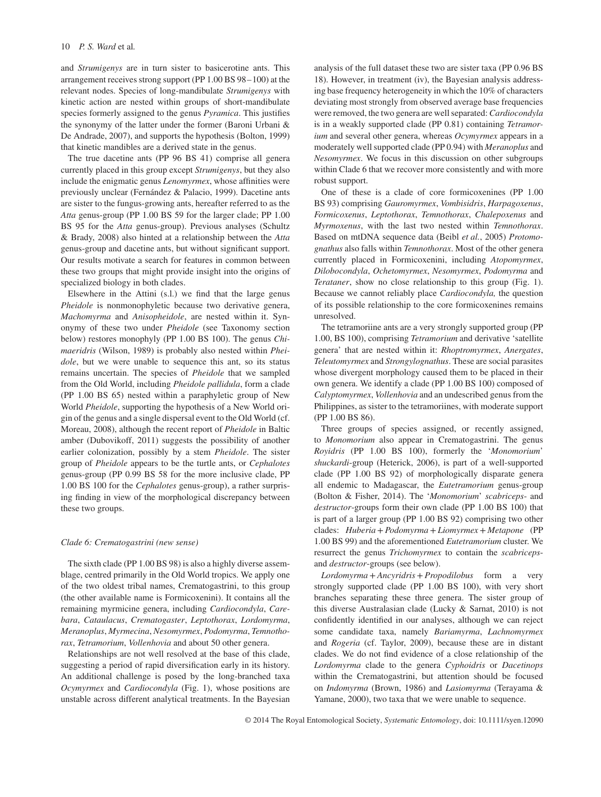and *Strumigenys* are in turn sister to basicerotine ants. This arrangement receives strong support (PP 1.00 BS 98–100) at the relevant nodes. Species of long-mandibulate *Strumigenys* with kinetic action are nested within groups of short-mandibulate species formerly assigned to the genus *Pyramica*. This justifies the synonymy of the latter under the former (Baroni Urbani & De Andrade, 2007), and supports the hypothesis (Bolton, 1999) that kinetic mandibles are a derived state in the genus.

The true dacetine ants (PP 96 BS 41) comprise all genera currently placed in this group except *Strumigenys*, but they also include the enigmatic genus *Lenomyrmex*, whose affinities were previously unclear (Fernández & Palacio, 1999). Dacetine ants are sister to the fungus-growing ants, hereafter referred to as the *Atta* genus-group (PP 1.00 BS 59 for the larger clade; PP 1.00 BS 95 for the *Atta* genus-group). Previous analyses (Schultz & Brady, 2008) also hinted at a relationship between the *Atta* genus-group and dacetine ants, but without significant support. Our results motivate a search for features in common between these two groups that might provide insight into the origins of specialized biology in both clades.

Elsewhere in the Attini (s.l.) we find that the large genus *Pheidole* is nonmonophyletic because two derivative genera, *Machomyrma* and *Anisopheidole*, are nested within it. Synonymy of these two under *Pheidole* (see Taxonomy section below) restores monophyly (PP 1.00 BS 100). The genus *Chimaeridris* (Wilson, 1989) is probably also nested within *Pheidole*, but we were unable to sequence this ant, so its status remains uncertain. The species of *Pheidole* that we sampled from the Old World, including *Pheidole pallidula*, form a clade (PP 1.00 BS 65) nested within a paraphyletic group of New World *Pheidole*, supporting the hypothesis of a New World origin of the genus and a single dispersal event to the Old World (cf. Moreau, 2008), although the recent report of *Pheidole* in Baltic amber (Dubovikoff, 2011) suggests the possibility of another earlier colonization, possibly by a stem *Pheidole*. The sister group of *Pheidole* appears to be the turtle ants, or *Cephalotes* genus-group (PP 0.99 BS 58 for the more inclusive clade, PP 1.00 BS 100 for the *Cephalotes* genus-group), a rather surprising finding in view of the morphological discrepancy between these two groups.

## *Clade 6: Crematogastrini (new sense)*

The sixth clade (PP 1.00 BS 98) is also a highly diverse assemblage, centred primarily in the Old World tropics. We apply one of the two oldest tribal names, Crematogastrini, to this group (the other available name is Formicoxenini). It contains all the remaining myrmicine genera, including *Cardiocondyla*, *Carebara*, *Cataulacus*, *Crematogaster*, *Leptothorax*, *Lordomyrma*, *Meranoplus*, *Myrmecina*, *Nesomyrmex*, *Podomyrma*, *Temnothorax*, *Tetramorium*, *Vollenhovia* and about 50 other genera.

Relationships are not well resolved at the base of this clade, suggesting a period of rapid diversification early in its history. An additional challenge is posed by the long-branched taxa *Ocymyrmex* and *Cardiocondyla* (Fig. 1), whose positions are unstable across different analytical treatments. In the Bayesian analysis of the full dataset these two are sister taxa (PP 0.96 BS 18). However, in treatment (iv), the Bayesian analysis addressing base frequency heterogeneity in which the 10% of characters deviating most strongly from observed average base frequencies were removed, the two genera are well separated:*Cardiocondyla* is in a weakly supported clade (PP 0.81) containing *Tetramorium* and several other genera, whereas *Ocymyrmex* appears in a moderately well supported clade (PP 0.94) with *Meranoplus* and *Nesomyrmex*. We focus in this discussion on other subgroups within Clade 6 that we recover more consistently and with more robust support.

One of these is a clade of core formicoxenines (PP 1.00 BS 93) comprising *Gauromyrmex*, *Vombisidris*, *Harpagoxenus*, *Formicoxenus*, *Leptothorax*, *Temnothorax*, *Chalepoxenus* and *Myrmoxenus*, with the last two nested within *Temnothorax*. Based on mtDNA sequence data (Beibl *et al.*, 2005) *Protomognathus* also falls within *Temnothorax*. Most of the other genera currently placed in Formicoxenini, including *Atopomyrmex*, *Dilobocondyla*, *Ochetomyrmex*, *Nesomyrmex*, *Podomyrma* and *Terataner*, show no close relationship to this group (Fig. 1). Because we cannot reliably place *Cardiocondyla,* the question of its possible relationship to the core formicoxenines remains unresolved.

The tetramoriine ants are a very strongly supported group (PP 1.00, BS 100), comprising *Tetramorium* and derivative 'satellite genera' that are nested within it: *Rhoptromyrmex*, *Anergates*, *Teleutomyrmex* and *Strongylognathus*. These are social parasites whose divergent morphology caused them to be placed in their own genera. We identify a clade (PP 1.00 BS 100) composed of *Calyptomyrmex*, *Vollenhovia* and an undescribed genus from the Philippines, as sister to the tetramoriines, with moderate support (PP 1.00 BS 86).

Three groups of species assigned, or recently assigned, to *Monomorium* also appear in Crematogastrini. The genus *Royidris* (PP 1.00 BS 100), formerly the '*Monomorium*' *shuckardi*-group (Heterick, 2006), is part of a well-supported clade (PP 1.00 BS 92) of morphologically disparate genera all endemic to Madagascar, the *Eutetramorium* genus-group (Bolton & Fisher, 2014). The '*Monomorium*' *scabriceps*- and *destructor*-groups form their own clade (PP 1.00 BS 100) that is part of a larger group (PP 1.00 BS 92) comprising two other clades: *Huberia*+*Podomyrma*+*Liomyrmex*+ *Metapone* (PP 1.00 BS 99) and the aforementioned *Eutetramorium* cluster. We resurrect the genus *Trichomyrmex* to contain the *scabriceps*and *destructor*-groups (see below).

*Lordomyrma*+*Ancyridris*+*Propodilobus* form a very strongly supported clade (PP 1.00 BS 100), with very short branches separating these three genera. The sister group of this diverse Australasian clade (Lucky & Sarnat, 2010) is not confidently identified in our analyses, although we can reject some candidate taxa, namely *Bariamyrma*, *Lachnomyrmex* and *Rogeria* (cf. Taylor, 2009), because these are in distant clades. We do not find evidence of a close relationship of the *Lordomyrma* clade to the genera *Cyphoidris* or *Dacetinops* within the Crematogastrini, but attention should be focused on *Indomyrma* (Brown, 1986) and *Lasiomyrma* (Terayama & Yamane, 2000), two taxa that we were unable to sequence.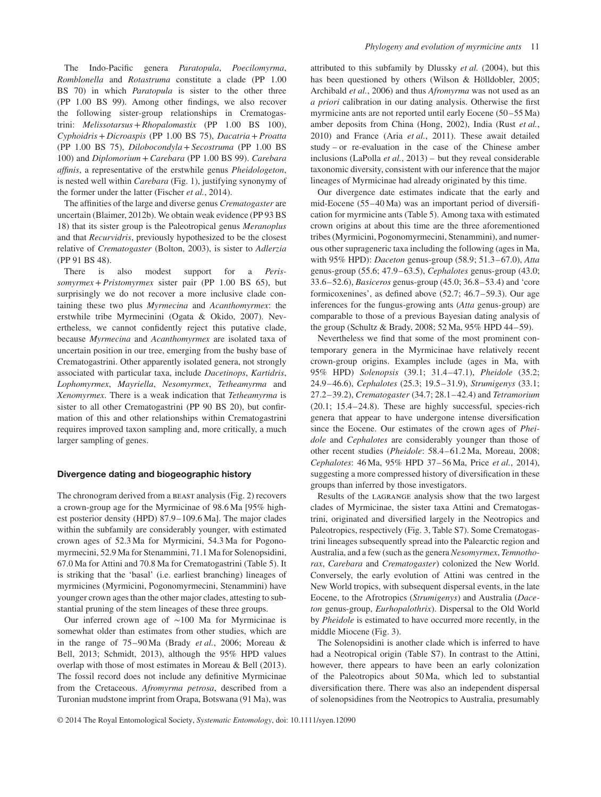The Indo-Pacific genera *Paratopula*, *Poecilomyrma*, *Romblonella* and *Rotastruma* constitute a clade (PP 1.00 BS 70) in which *Paratopula* is sister to the other three (PP 1.00 BS 99). Among other findings, we also recover the following sister-group relationships in Crematogastrini: *Melissotarsus*+*Rhopalomastix* (PP 1.00 BS 100), *Cyphoidris*+ *Dicroaspis* (PP 1.00 BS 75), *Dacatria*+*Proatta* (PP 1.00 BS 75), *Dilobocondyla*+*Secostruma* (PP 1.00 BS 100) and *Diplomorium* +*Carebara* (PP 1.00 BS 99). *Carebara affinis*, a representative of the erstwhile genus *Pheidologeton*, is nested well within *Carebara* (Fig. 1), justifying synonymy of the former under the latter (Fischer *et al.*, 2014).

The affinities of the large and diverse genus *Crematogaster* are uncertain (Blaimer, 2012b). We obtain weak evidence (PP 93 BS 18) that its sister group is the Paleotropical genus *Meranoplus* and that *Recurvidris*, previously hypothesized to be the closest relative of *Crematogaster* (Bolton, 2003), is sister to *Adlerzia* (PP 91 BS 48).

There is also modest support for a *Perissomyrmex*+*Pristomyrmex* sister pair (PP 1.00 BS 65), but surprisingly we do not recover a more inclusive clade containing these two plus *Myrmecina* and *Acanthomyrmex*: the erstwhile tribe Myrmecinini (Ogata & Okido, 2007). Nevertheless, we cannot confidently reject this putative clade, because *Myrmecina* and *Acanthomyrmex* are isolated taxa of uncertain position in our tree, emerging from the bushy base of Crematogastrini. Other apparently isolated genera, not strongly associated with particular taxa, include *Dacetinops*, *Kartidris*, *Lophomyrmex*, *Mayriella*, *Nesomyrmex*, *Tetheamyrma* and *Xenomyrmex*. There is a weak indication that *Tetheamyrma* is sister to all other Crematogastrini (PP 90 BS 20), but confirmation of this and other relationships within Crematogastrini requires improved taxon sampling and, more critically, a much larger sampling of genes.

## **Divergence dating and biogeographic history**

The chronogram derived from a BEAST analysis (Fig. 2) recovers a crown-group age for the Myrmicinae of 98.6 Ma [95% highest posterior density (HPD) 87.9–109.6 Ma]. The major clades within the subfamily are considerably younger, with estimated crown ages of 52.3 Ma for Myrmicini, 54.3 Ma for Pogonomyrmecini, 52.9 Ma for Stenammini, 71.1 Ma for Solenopsidini, 67.0 Ma for Attini and 70.8 Ma for Crematogastrini (Table 5). It is striking that the 'basal' (i.e. earliest branching) lineages of myrmicines (Myrmicini, Pogonomyrmecini, Stenammini) have younger crown ages than the other major clades, attesting to substantial pruning of the stem lineages of these three groups.

Our inferred crown age of ∼100 Ma for Myrmicinae is somewhat older than estimates from other studies, which are in the range of 75–90 Ma (Brady *et al.*, 2006; Moreau & Bell, 2013; Schmidt, 2013), although the 95% HPD values overlap with those of most estimates in Moreau & Bell (2013). The fossil record does not include any definitive Myrmicinae from the Cretaceous. *Afromyrma petrosa*, described from a Turonian mudstone imprint from Orapa, Botswana (91 Ma), was attributed to this subfamily by Dlussky *et al.* (2004), but this has been questioned by others (Wilson & Hölldobler, 2005; Archibald *et al.*, 2006) and thus *Afromyrma* was not used as an *a priori* calibration in our dating analysis. Otherwise the first myrmicine ants are not reported until early Eocene (50–55 Ma) amber deposits from China (Hong, 2002), India (Rust *et al.*, 2010) and France (Aria *et al.*, 2011). These await detailed study – or re-evaluation in the case of the Chinese amber inclusions (LaPolla *et al.*, 2013) – but they reveal considerable taxonomic diversity, consistent with our inference that the major lineages of Myrmicinae had already originated by this time.

Our divergence date estimates indicate that the early and mid-Eocene (55–40 Ma) was an important period of diversification for myrmicine ants (Table 5). Among taxa with estimated crown origins at about this time are the three aforementioned tribes (Myrmicini, Pogonomyrmecini, Stenammini), and numerous other suprageneric taxa including the following (ages in Ma, with 95% HPD): *Daceton* genus-group (58.9; 51.3–67.0), *Atta* genus-group (55.6; 47.9–63.5), *Cephalotes* genus-group (43.0; 33.6–52.6), *Basiceros* genus-group (45.0; 36.8–53.4) and 'core formicoxenines', as defined above (52.7; 46.7–59.3). Our age inferences for the fungus-growing ants (*Atta* genus-group) are comparable to those of a previous Bayesian dating analysis of the group (Schultz & Brady, 2008; 52 Ma, 95% HPD 44–59).

Nevertheless we find that some of the most prominent contemporary genera in the Myrmicinae have relatively recent crown-group origins. Examples include (ages in Ma, with 95% HPD) *Solenopsis* (39.1; 31.4–47.1), *Pheidole* (35.2; 24.9–46.6), *Cephalotes* (25.3; 19.5–31.9), *Strumigenys* (33.1; 27.2–39.2), *Crematogaster* (34.7; 28.1–42.4) and *Tetramorium* (20.1; 15.4–24.8). These are highly successful, species-rich genera that appear to have undergone intense diversification since the Eocene. Our estimates of the crown ages of *Pheidole* and *Cephalotes* are considerably younger than those of other recent studies (*Pheidole*: 58.4–61.2 Ma, Moreau, 2008; *Cephalotes*: 46 Ma, 95% HPD 37–56 Ma, Price *et al.*, 2014), suggesting a more compressed history of diversification in these groups than inferred by those investigators.

Results of the lagrange analysis show that the two largest clades of Myrmicinae, the sister taxa Attini and Crematogastrini, originated and diversified largely in the Neotropics and Paleotropics, respectively (Fig. 3, Table S7). Some Crematogastrini lineages subsequently spread into the Palearctic region and Australia, and a few (such as the genera *Nesomyrmex*, *Temnothorax*, *Carebara* and *Crematogaster*) colonized the New World. Conversely, the early evolution of Attini was centred in the New World tropics, with subsequent dispersal events, in the late Eocene, to the Afrotropics (*Strumigenys*) and Australia (*Daceton* genus-group, *Eurhopalothrix*). Dispersal to the Old World by *Pheidole* is estimated to have occurred more recently, in the middle Miocene (Fig. 3).

The Solenopsidini is another clade which is inferred to have had a Neotropical origin (Table S7). In contrast to the Attini, however, there appears to have been an early colonization of the Paleotropics about 50 Ma, which led to substantial diversification there. There was also an independent dispersal of solenopsidines from the Neotropics to Australia, presumably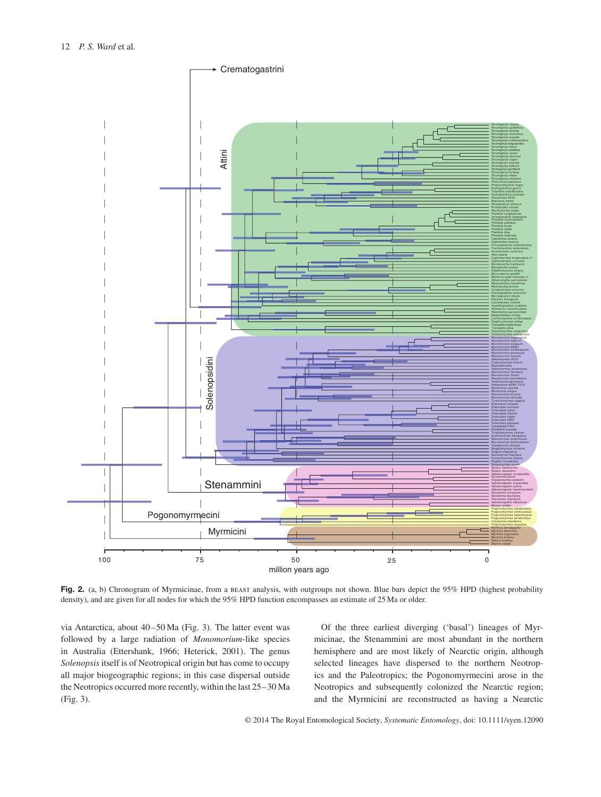

Fig. 2. (a, b) Chronogram of Myrmicinae, from a BEAST analysis, with outgroups not shown. Blue bars depict the 95% HPD (highest probability density), and are given for all nodes for which the 95% HPD function encompasses an estimate of 25 Ma or older.

via Antarctica, about 40–50 Ma (Fig. 3). The latter event was followed by a large radiation of *Monomorium*-like species in Australia (Ettershank, 1966; Heterick, 2001). The genus *Solenopsis* itself is of Neotropical origin but has come to occupy all major biogeographic regions; in this case dispersal outside the Neotropics occurred more recently, within the last 25–30 Ma (Fig. 3).

Of the three earliest diverging ('basal') lineages of Myrmicinae, the Stenammini are most abundant in the northern hemisphere and are most likely of Nearctic origin, although selected lineages have dispersed to the northern Neotropics and the Paleotropics; the Pogonomyrmecini arose in the Neotropics and subsequently colonized the Nearctic region; and the Myrmicini are reconstructed as having a Nearctic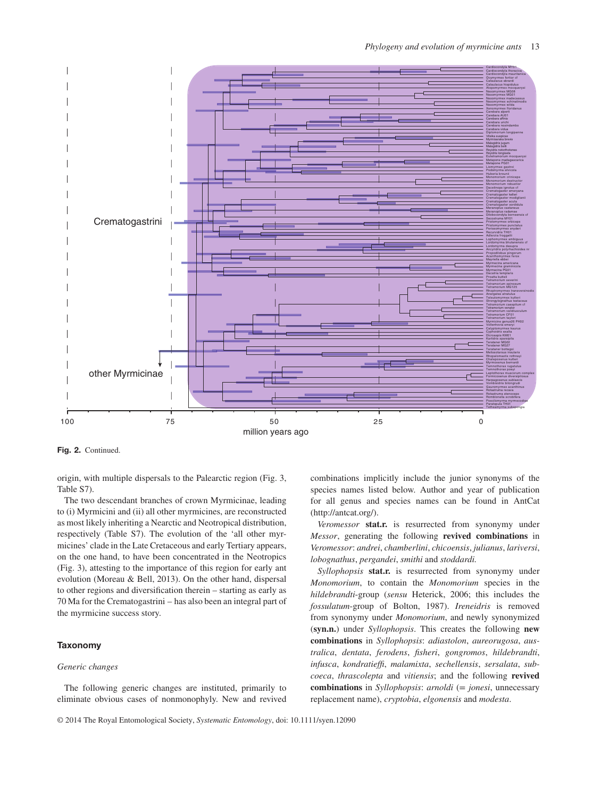

**Fig. 2.** Continued.

origin, with multiple dispersals to the Palearctic region (Fig. 3, Table S7).

The two descendant branches of crown Myrmicinae, leading to (i) Myrmicini and (ii) all other myrmicines, are reconstructed as most likely inheriting a Nearctic and Neotropical distribution, respectively (Table S7). The evolution of the 'all other myrmicines' clade in the Late Cretaceous and early Tertiary appears, on the one hand, to have been concentrated in the Neotropics (Fig. 3), attesting to the importance of this region for early ant evolution (Moreau & Bell, 2013). On the other hand, dispersal to other regions and diversification therein – starting as early as 70 Ma for the Crematogastrini – has also been an integral part of the myrmicine success story.

## **Taxonomy**

# *Generic changes*

The following generic changes are instituted, primarily to eliminate obvious cases of nonmonophyly. New and revived combinations implicitly include the junior synonyms of the species names listed below. Author and year of publication for all genus and species names can be found in AntCat (http://antcat.org/).

*Veromessor* **stat.r.** is resurrected from synonymy under *Messor*, generating the following **revived combinations** in *Veromessor*: *andrei*, *chamberlini*, *chicoensis*, *julianus*, *lariversi*, *lobognathus*, *pergandei*, *smithi* and *stoddardi.*

*Syllophopsis* **stat.r.** is resurrected from synonymy under *Monomorium*, to contain the *Monomorium* species in the *hildebrandti*-group (*sensu* Heterick, 2006; this includes the *fossulatum*-group of Bolton, 1987). *Ireneidris* is removed from synonymy under *Monomorium*, and newly synonymized (**syn.n.**) under *Syllophopsis*. This creates the following **new combinations** in *Syllophopsis*: *adiastolon*, *aureorugosa*, *australica*, *dentata*, *ferodens*, *fisheri*, *gongromos*, *hildebrandti*, *infusca*, *kondratieffi*, *malamixta*, *sechellensis*, *sersalata*, *subcoeca*, *thrascolepta* and *vitiensis*; and the following **revived combinations** in *Syllophopsis*: *arnoldi* (= *jonesi*, unnecessary replacement name), *cryptobia*, *elgonensis* and *modesta*.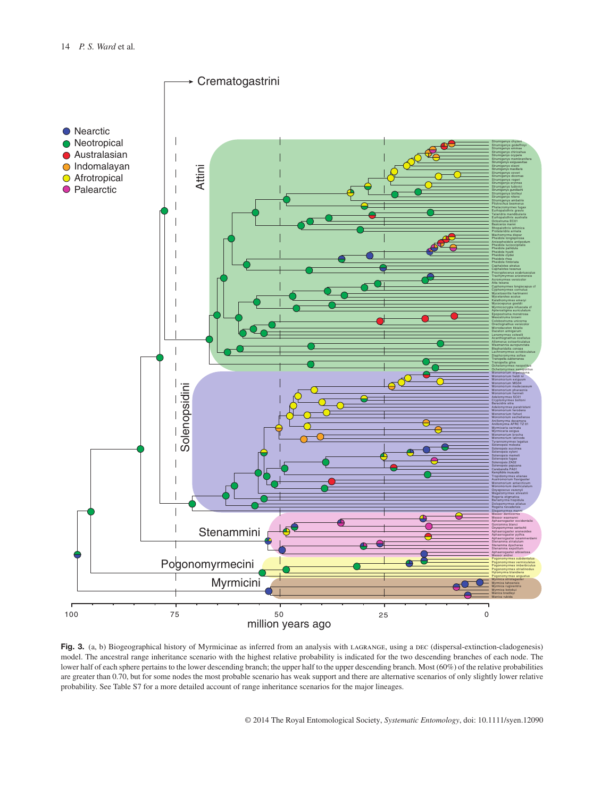

Fig. 3. (a, b) Biogeographical history of Myrmicinae as inferred from an analysis with LAGRANGE, using a DEC (dispersal-extinction-cladogenesis) model. The ancestral range inheritance scenario with the highest relative probability is indicated for the two descending branches of each node. The lower half of each sphere pertains to the lower descending branch; the upper half to the upper descending branch. Most (60%) of the relative probabilities are greater than 0.70, but for some nodes the most probable scenario has weak support and there are alternative scenarios of only slightly lower relative probability. See Table S7 for a more detailed account of range inheritance scenarios for the major lineages.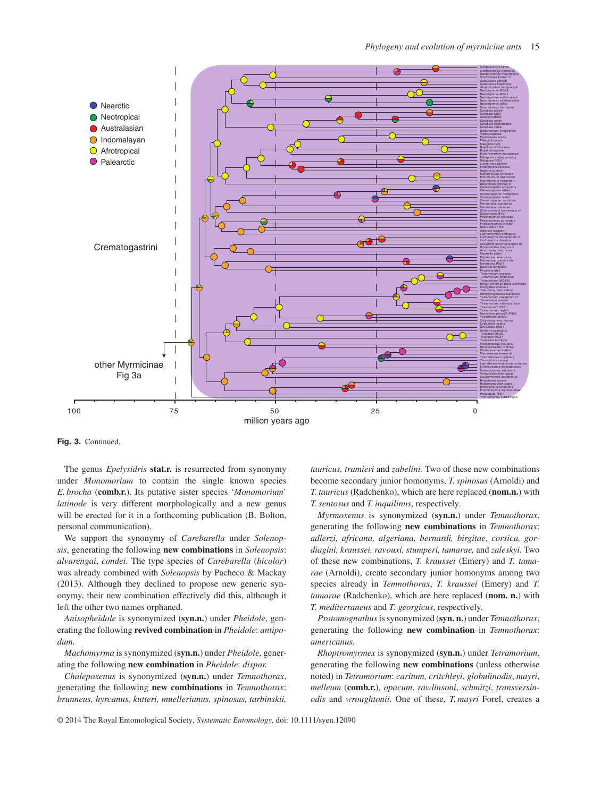

**Fig. 3.** Continued.

The genus *Epelysidris* **stat.r.** is resurrected from synonymy under *Monomorium* to contain the single known species *E. brocha* (**comb.r.**). Its putative sister species '*Monomorium*' *latinode* is very different morphologically and a new genus will be erected for it in a forthcoming publication (B. Bolton, personal communication).

We support the synonymy of *Carebarella* under *Solenopsis*, generating the following **new combinations** in *Solenopsis*: *alvarengai*, *condei*. The type species of *Carebarella* (*bicolor*) was already combined with *Solenopsis* by Pacheco & Mackay (2013). Although they declined to propose new generic synonymy, their new combination effectively did this, although it left the other two names orphaned.

*Anisopheidole* is synonymized (**syn.n.**) under *Pheidole*, generating the following **revived combination** in *Pheidole*: *antipodum.*

*Machomyrma* is synonymized (**syn.n.**) under *Pheidole*, generating the following **new combination** in *Pheidole*: *dispar.*

*Chalepoxenus* is synonymized (**syn.n.**) under *Temnothorax*, generating the following **new combinations** in *Temnothorax*: *brunneus, hyrcanus, kutteri, muellerianus, spinosus, tarbinskii,*

*tauricus, tramieri* and *zabelini.* Two of these new combinations become secondary junior homonyms, *T. spinosus* (Arnoldi) and *T. tauricus* (Radchenko), which are here replaced (**nom.n.**) with *T. sentosus* and *T. inquilinus*, respectively.

*Myrmoxenus* is synonymized (**syn.n.**) under *Temnothorax*, generating the following **new combinations** in *Temnothorax*: *adlerzi, africana, algeriana, bernardi, birgitae, corsica, gordiagini, kraussei, ravouxi, stumperi, tamarae,* and *zaleskyi.* Two of these new combinations, *T. kraussei* (Emery) and *T. tamarae* (Arnoldi), create secondary junior homonyms among two species already in *Temnothorax*, *T. kraussei* (Emery) and *T. tamarae* (Radchenko), which are here replaced (**nom. n.**) with *T. mediterraneus* and *T. georgicus*, respectively.

*Protomognathus*is synonymized (**syn. n.**) under *Temnothorax*, generating the following **new combination** in *Temnothorax*: *americanus.*

*Rhoptromyrmex* is synonymized (**syn.n.**) under *Tetramorium*, generating the following **new combinations** (unless otherwise noted) in *Tetramorium*: *caritum, critchleyi*, *globulinodis*, *mayri*, *melleum* (**comb.r.**), *opacum*, *rawlinsoni*, *schmitzi*, *transversinodis* and *wroughtonii*. One of these, *T. mayri* Forel, creates a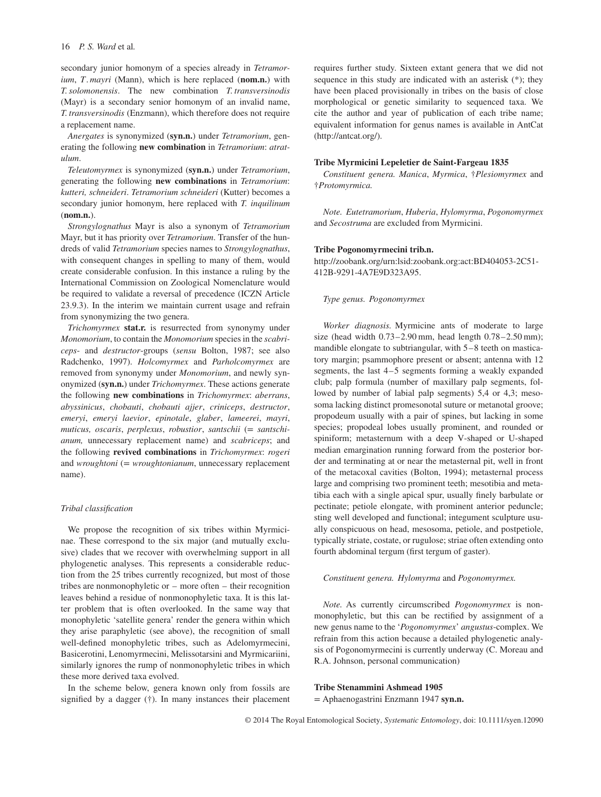secondary junior homonym of a species already in *Tetramorium*, *T*. *mayri* (Mann), which is here replaced (**nom.n.**) with *T. solomonensis*. The new combination *T. transversinodis* (Mayr) is a secondary senior homonym of an invalid name, *T. transversinodis* (Enzmann), which therefore does not require a replacement name.

*Anergates* is synonymized (**syn.n.**) under *Tetramorium*, generating the following **new combination** in *Tetramorium*: *atratulum*.

*Teleutomyrmex* is synonymized (**syn.n.**) under *Tetramorium*, generating the following **new combinations** in *Tetramorium*: *kutteri, schneideri*. *Tetramorium schneideri* (Kutter) becomes a secondary junior homonym, here replaced with *T. inquilinum* (**nom.n.**).

*Strongylognathus* Mayr is also a synonym of *Tetramorium* Mayr, but it has priority over *Tetramorium*. Transfer of the hundreds of valid *Tetramorium* species names to *Strongylognathus*, with consequent changes in spelling to many of them, would create considerable confusion. In this instance a ruling by the International Commission on Zoological Nomenclature would be required to validate a reversal of precedence (ICZN Article 23.9.3). In the interim we maintain current usage and refrain from synonymizing the two genera.

*Trichomyrmex* **stat.r.** is resurrected from synonymy under *Monomorium*, to contain the *Monomorium* species in the *scabriceps*- and *destructor*-groups (*sensu* Bolton, 1987; see also Radchenko, 1997). *Holcomyrmex* and *Parholcomyrmex* are removed from synonymy under *Monomorium*, and newly synonymized (**syn.n.**) under *Trichomyrmex*. These actions generate the following **new combinations** in *Trichomyrmex*: *aberrans*, *abyssinicus*, *chobauti*, *chobauti ajjer*, *criniceps*, *destructor*, *emeryi*, *emeryi laevior*, *epinotale*, *glaber*, *lameerei*, *mayri*, *muticus, oscaris*, *perplexus*, *robustior*, *santschii* (= *santschianum,* unnecessary replacement name) and *scabriceps*; and the following **revived combinations** in *Trichomyrmex*: *rogeri* and *wroughtoni* (= *wroughtonianum*, unnecessary replacement name).

#### *Tribal classification*

We propose the recognition of six tribes within Myrmicinae. These correspond to the six major (and mutually exclusive) clades that we recover with overwhelming support in all phylogenetic analyses. This represents a considerable reduction from the 25 tribes currently recognized, but most of those tribes are nonmonophyletic or – more often – their recognition leaves behind a residue of nonmonophyletic taxa. It is this latter problem that is often overlooked. In the same way that monophyletic 'satellite genera' render the genera within which they arise paraphyletic (see above), the recognition of small well-defined monophyletic tribes, such as Adelomyrmecini, Basicerotini, Lenomyrmecini, Melissotarsini and Myrmicariini, similarly ignores the rump of nonmonophyletic tribes in which these more derived taxa evolved.

In the scheme below, genera known only from fossils are signified by a dagger (†). In many instances their placement requires further study. Sixteen extant genera that we did not sequence in this study are indicated with an asterisk (\*); they have been placed provisionally in tribes on the basis of close morphological or genetic similarity to sequenced taxa. We cite the author and year of publication of each tribe name; equivalent information for genus names is available in AntCat (http://antcat.org/).

#### **Tribe Myrmicini Lepeletier de Saint-Fargeau 1835**

*Constituent genera. Manica*, *Myrmica*, †*Plesiomyrmex* and †*Protomyrmica.*

*Note. Eutetramorium*, *Huberia*, *Hylomyrma*, *Pogonomyrmex* and *Secostruma* are excluded from Myrmicini.

## **Tribe Pogonomyrmecini trib.n.**

http://zoobank.org/urn:lsid:zoobank.org:act:BD404053-2C51- 412B-9291-4A7E9D323A95.

#### *Type genus. Pogonomyrmex*

*Worker diagnosis.* Myrmicine ants of moderate to large size (head width  $0.73-2.90$  mm, head length  $0.78-2.50$  mm); mandible elongate to subtriangular, with 5–8 teeth on masticatory margin; psammophore present or absent; antenna with 12 segments, the last 4–5 segments forming a weakly expanded club; palp formula (number of maxillary palp segments, followed by number of labial palp segments) 5,4 or 4,3; mesosoma lacking distinct promesonotal suture or metanotal groove; propodeum usually with a pair of spines, but lacking in some species; propodeal lobes usually prominent, and rounded or spiniform; metasternum with a deep V-shaped or U-shaped median emargination running forward from the posterior border and terminating at or near the metasternal pit, well in front of the metacoxal cavities (Bolton, 1994); metasternal process large and comprising two prominent teeth; mesotibia and metatibia each with a single apical spur, usually finely barbulate or pectinate; petiole elongate, with prominent anterior peduncle; sting well developed and functional; integument sculpture usually conspicuous on head, mesosoma, petiole, and postpetiole, typically striate, costate, or rugulose; striae often extending onto fourth abdominal tergum (first tergum of gaster).

## *Constituent genera. Hylomyrma* and *Pogonomyrmex.*

*Note.* As currently circumscribed *Pogonomyrmex* is nonmonophyletic, but this can be rectified by assignment of a new genus name to the '*Pogonomyrmex*' *angustus*-complex. We refrain from this action because a detailed phylogenetic analysis of Pogonomyrmecini is currently underway (C. Moreau and R.A. Johnson, personal communication)

#### **Tribe Stenammini Ashmead 1905**

= Aphaenogastrini Enzmann 1947 **syn.n.**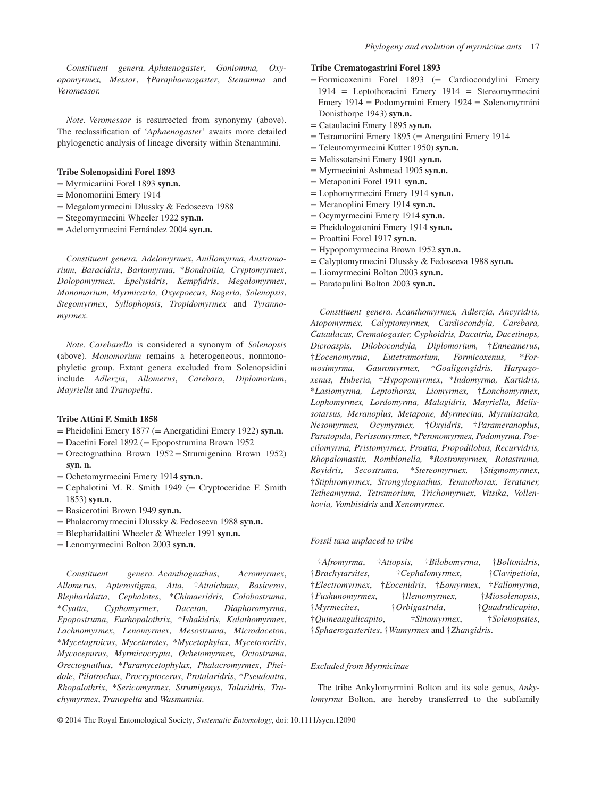*Constituent genera. Aphaenogaster*, *Goniomma, Oxyopomyrmex, Messor*, †*Paraphaenogaster*, *Stenamma* and *Veromessor.*

*Note. Veromessor* is resurrected from synonymy (above). The reclassification of '*Aphaenogaster*' awaits more detailed phylogenetic analysis of lineage diversity within Stenammini.

## **Tribe Solenopsidini Forel 1893**

- = Myrmicariini Forel 1893 **syn.n.**
- = Monomoriini Emery 1914
- = Megalomyrmecini Dlussky & Fedoseeva 1988
- = Stegomyrmecini Wheeler 1922 **syn.n.**
- = Adelomyrmecini Fernández 2004 **syn.n.**

*Constituent genera. Adelomyrmex*, *Anillomyrma*, *Austromorium*, *Baracidris*, *Bariamyrma*, \**Bondroitia, Cryptomyrmex*, *Dolopomyrmex*, *Epelysidris*, *Kempfidris*, *Megalomyrmex*, *Monomorium*, *Myrmicaria, Oxyepoecus*, *Rogeria*, *Solenopsis*, *Stegomyrmex*, *Syllophopsis*, *Tropidomyrmex* and *Tyrannomyrmex*.

*Note. Carebarella* is considered a synonym of *Solenopsis* (above). *Monomorium* remains a heterogeneous, nonmonophyletic group. Extant genera excluded from Solenopsidini include *Adlerzia*, *Allomerus*, *Carebara*, *Diplomorium*, *Mayriella* and *Tranopelta*.

# **Tribe Attini F. Smith 1858**

- = Pheidolini Emery 1877 (= Anergatidini Emery 1922) **syn.n.**
- = Dacetini Forel 1892 (= Epopostrumina Brown 1952
- = Orectognathina Brown 1952=Strumigenina Brown 1952) **syn. n.**
- = Ochetomyrmecini Emery 1914 **syn.n.**
- $=$  Cephalotini M. R. Smith 1949 ( $=$  Cryptoceridae F. Smith 1853) **syn.n.**
- = Basicerotini Brown 1949 **syn.n.**
- = Phalacromyrmecini Dlussky & Fedoseeva 1988 **syn.n.**
- = Blepharidattini Wheeler & Wheeler 1991 **syn.n.**
- = Lenomyrmecini Bolton 2003 **syn.n.**

*Constituent genera. Acanthognathus*, *Acromyrmex*, *Allomerus*, *Apterostigma*, *Atta*, †*Attaichnus*, *Basiceros*, *Blepharidatta*, *Cephalotes*, \**Chimaeridris, Colobostruma*, \**Cyatta*, *Cyphomyrmex*, *Daceton*, *Diaphoromyrma*, *Epopostruma*, *Eurhopalothrix*, \**Ishakidris*, *Kalathomyrmex*, *Lachnomyrmex*, *Lenomyrmex*, *Mesostruma*, *Microdaceton*, \**Mycetagroicus*, *Mycetarotes*, \**Mycetophylax*, *Mycetosoritis*, *Mycocepurus*, *Myrmicocrypta*, *Ochetomyrmex*, *Octostruma*, *Orectognathus*, \**Paramycetophylax*, *Phalacromyrmex*, *Pheidole*, *Pilotrochus*, *Procryptocerus*, *Protalaridris*, \**Pseudoatta*, *Rhopalothrix*, \**Sericomyrmex*, *Strumigenys*, *Talaridris*, *Trachymyrmex*, *Tranopelta* and *Wasmannia*.

#### **Tribe Crematogastrini Forel 1893**

- $=$  Formicoxenini Forel 1893 ( $=$  Cardiocondylini Emery 1914 = Leptothoracini Emery 1914 = Stereomyrmecini Emery 1914 = Podomyrmini Emery 1924 = Solenomyrmini Donisthorpe 1943) **syn.n.**
- = Cataulacini Emery 1895 **syn.n.**
- = Tetramoriini Emery 1895 (= Anergatini Emery 1914
- = Teleutomyrmecini Kutter 1950) **syn.n.**
- = Melissotarsini Emery 1901 **syn.n.**
- = Myrmecinini Ashmead 1905 **syn.n.**
- = Metaponini Forel 1911 **syn.n.**
- = Lophomyrmecini Emery 1914 **syn.n.**
- = Meranoplini Emery 1914 **syn.n.**
- = Ocymyrmecini Emery 1914 **syn.n.**
- = Pheidologetonini Emery 1914 **syn.n.**
- = Proattini Forel 1917 **syn.n.**
- = Hypopomyrmecina Brown 1952 **syn.n.**
- = Calyptomyrmecini Dlussky & Fedoseeva 1988 **syn.n.**
- = Liomyrmecini Bolton 2003 **syn.n.**
- = Paratopulini Bolton 2003 **syn.n.**

*Constituent genera. Acanthomyrmex, Adlerzia, Ancyridris, Atopomyrmex, Calyptomyrmex, Cardiocondyla, Carebara, Cataulacus, Crematogaster, Cyphoidris, Dacatria, Dacetinops, Dicroaspis, Dilobocondyla, Diplomorium,* †*Enneamerus*, †*Eocenomyrma*, *Eutetramorium, Formicoxenus,* \**Formosimyrma, Gauromyrmex,* \**Goaligongidris, Harpagoxenus, Huberia,* †*Hypopomyrmex*, \**Indomyrma, Kartidris,* \**Lasiomyrma, Leptothorax, Liomyrmex,* †*Lonchomyrmex*, *Lophomyrmex, Lordomyrma, Malagidris, Mayriella, Melissotarsus, Meranoplus, Metapone, Myrmecina, Myrmisaraka, Nesomyrmex, Ocymyrmex,* †*Oxyidris*, †*Parameranoplus*, *Paratopula, Perissomyrmex,* \**Peronomyrmex, Podomyrma, Poecilomyrma, Pristomyrmex, Proatta, Propodilobus, Recurvidris, Rhopalomastix, Romblonella,* \**Rostromyrmex, Rotastruma, Royidris, Secostruma,* \**Stereomyrmex,* †*Stigmomyrmex*, †*Stiphromyrmex*, *Strongylognathus, Temnothorax, Terataner, Tetheamyrma, Tetramorium, Trichomyrmex*, *Vitsika*, *Vollenhovia, Vombisidris* and *Xenomyrmex.*

#### *Fossil taxa unplaced to tribe*

†*Afromyrma*, †*Attopsis*, †*Bilobomyrma*, †*Boltonidris*, †*Brachytarsites*, †*Cephalomyrmex*, †*Clavipetiola*, †*Electromyrmex*, †*Eocenidris*, †*Eomyrmex*, †*Fallomyrma*, †*Fushunomyrmex*, †*Ilemomyrmex*, †*Miosolenopsis*, †*Myrmecites*, †*Orbigastrula*, †*Quadrulicapito*, †*Quineangulicapito*, †*Sinomyrmex*, †*Solenopsites*, †*Sphaerogasterites*, †*Wumyrmex* and †*Zhangidris*.

## *Excluded from Myrmicinae*

The tribe Ankylomyrmini Bolton and its sole genus, *Ankylomyrma* Bolton, are hereby transferred to the subfamily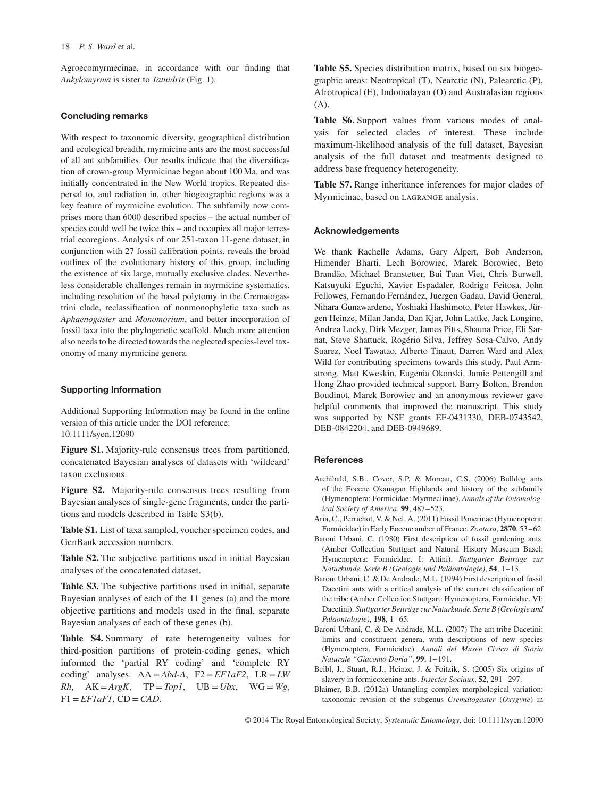Agroecomyrmecinae, in accordance with our finding that *Ankylomyrma* is sister to *Tatuidris* (Fig. 1).

## **Concluding remarks**

With respect to taxonomic diversity, geographical distribution and ecological breadth, myrmicine ants are the most successful of all ant subfamilies. Our results indicate that the diversification of crown-group Myrmicinae began about 100 Ma, and was initially concentrated in the New World tropics. Repeated dispersal to, and radiation in, other biogeographic regions was a key feature of myrmicine evolution. The subfamily now comprises more than 6000 described species – the actual number of species could well be twice this – and occupies all major terrestrial ecoregions. Analysis of our 251-taxon 11-gene dataset, in conjunction with 27 fossil calibration points, reveals the broad outlines of the evolutionary history of this group, including the existence of six large, mutually exclusive clades. Nevertheless considerable challenges remain in myrmicine systematics, including resolution of the basal polytomy in the Crematogastrini clade, reclassification of nonmonophyletic taxa such as *Aphaenogaster* and *Monomorium*, and better incorporation of fossil taxa into the phylogenetic scaffold. Much more attention also needs to be directed towards the neglected species-level taxonomy of many myrmicine genera.

## **Supporting Information**

Additional Supporting Information may be found in the online version of this article under the DOI reference: 10.1111/syen.12090

**Figure S1.** Majority-rule consensus trees from partitioned, concatenated Bayesian analyses of datasets with 'wildcard' taxon exclusions.

**Figure S2.** Majority-rule consensus trees resulting from Bayesian analyses of single-gene fragments, under the partitions and models described in Table S3(b).

**Table S1.** List of taxa sampled, voucher specimen codes, and GenBank accession numbers.

**Table S2.** The subjective partitions used in initial Bayesian analyses of the concatenated dataset.

**Table S3.** The subjective partitions used in initial, separate Bayesian analyses of each of the 11 genes (a) and the more objective partitions and models used in the final, separate Bayesian analyses of each of these genes (b).

**Table S4.** Summary of rate heterogeneity values for third-position partitions of protein-coding genes, which informed the 'partial RY coding' and 'complete RY coding' analyses.  $AA = Abd-A$ ,  $F2 = EF1aF2$ ,  $LR = LW$  $Rh$ ,  $AK = ArgK$ ,  $TP = Top1$ ,  $UB = Ubx$ ,  $WG = Wg$ ,  $F1 = EF1aF1$ ,  $CD = CAD$ .

**Table S5.** Species distribution matrix, based on six biogeographic areas: Neotropical (T), Nearctic (N), Palearctic (P), Afrotropical (E), Indomalayan (O) and Australasian regions (A).

**Table S6.** Support values from various modes of analysis for selected clades of interest. These include maximum-likelihood analysis of the full dataset, Bayesian analysis of the full dataset and treatments designed to address base frequency heterogeneity.

**Table S7.** Range inheritance inferences for major clades of Myrmicinae, based on lagrange analysis.

# **Acknowledgements**

We thank Rachelle Adams, Gary Alpert, Bob Anderson, Himender Bharti, Lech Borowiec, Marek Borowiec, Beto Brandão, Michael Branstetter, Bui Tuan Viet, Chris Burwell, Katsuyuki Eguchi, Xavier Espadaler, Rodrigo Feitosa, John Fellowes, Fernando Fernández, Juergen Gadau, David General, Nihara Gunawardene, Yoshiaki Hashimoto, Peter Hawkes, Jürgen Heinze, Milan Janda, Dan Kjar, John Lattke, Jack Longino, Andrea Lucky, Dirk Mezger, James Pitts, Shauna Price, Eli Sarnat, Steve Shattuck, Rogério Silva, Jeffrey Sosa-Calvo, Andy Suarez, Noel Tawatao, Alberto Tinaut, Darren Ward and Alex Wild for contributing specimens towards this study. Paul Armstrong, Matt Kweskin, Eugenia Okonski, Jamie Pettengill and Hong Zhao provided technical support. Barry Bolton, Brendon Boudinot, Marek Borowiec and an anonymous reviewer gave helpful comments that improved the manuscript. This study was supported by NSF grants EF-0431330, DEB-0743542, DEB-0842204, and DEB-0949689.

# **References**

- Archibald, S.B., Cover, S.P. & Moreau, C.S. (2006) Bulldog ants of the Eocene Okanagan Highlands and history of the subfamily (Hymenoptera: Formicidae: Myrmeciinae). *Annals of the Entomological Society of America*, **99**, 487–523.
- Aria, C., Perrichot, V. & Nel, A. (2011) Fossil Ponerinae (Hymenoptera: Formicidae) in Early Eocene amber of France. *Zootaxa*, **2870**, 53–62.
- Baroni Urbani, C. (1980) First description of fossil gardening ants. (Amber Collection Stuttgart and Natural History Museum Basel; Hymenoptera: Formicidae. I: Attini). *Stuttgarter Beiträge zur Naturkunde. Serie B (Geologie und Paläontologie)*, **54**, 1–13.
- Baroni Urbani, C. & De Andrade, M.L. (1994) First description of fossil Dacetini ants with a critical analysis of the current classification of the tribe (Amber Collection Stuttgart: Hymenoptera, Formicidae. VI: Dacetini). *Stuttgarter Beiträge zur Naturkunde. Serie B (Geologie und Paläontologie)*, **198**, 1–65.
- Baroni Urbani, C. & De Andrade, M.L. (2007) The ant tribe Dacetini: limits and constituent genera, with descriptions of new species (Hymenoptera, Formicidae). *Annali del Museo Civico di Storia Naturale "Giacomo Doria"*, **99**, 1–191.
- Beibl, J., Stuart, R.J., Heinze, J. & Foitzik, S. (2005) Six origins of slavery in formicoxenine ants. *Insectes Sociaux*, **52**, 291–297.
- Blaimer, B.B. (2012a) Untangling complex morphological variation: taxonomic revision of the subgenus *Crematogaster* (*Oxygyne*) in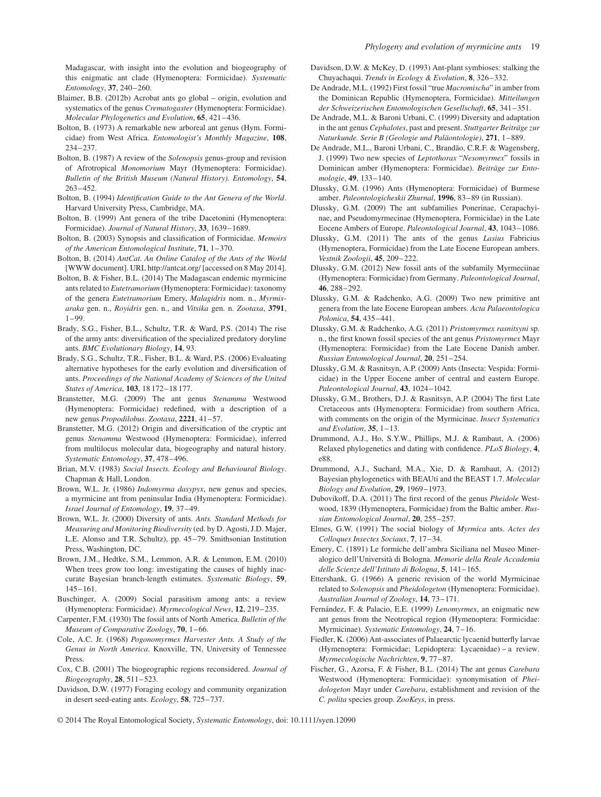Madagascar, with insight into the evolution and biogeography of this enigmatic ant clade (Hymenoptera: Formicidae). *Systematic Entomology*, **37**, 240–260.

- Blaimer, B.B. (2012b) Acrobat ants go global origin, evolution and systematics of the genus *Crematogaster* (Hymenoptera: Formicidae). *Molecular Phylogenetics and Evolution*, **65**, 421–436.
- Bolton, B. (1973) A remarkable new arboreal ant genus (Hym. Formicidae) from West Africa. *Entomologist's Monthly Magazine*, **108**, 234–237.
- Bolton, B. (1987) A review of the *Solenopsis* genus-group and revision of Afrotropical *Monomorium* Mayr (Hymenoptera: Formicidae). *Bulletin of the British Museum (Natural History). Entomology*, **54**, 263–452.
- Bolton, B. (1994) *Identification Guide to the Ant Genera of the World*. Harvard University Press, Cambridge, MA.
- Bolton, B. (1999) Ant genera of the tribe Dacetonini (Hymenoptera: Formicidae). *Journal of Natural History*, **33**, 1639–1689.
- Bolton, B. (2003) Synopsis and classification of Formicidae. *Memoirs of the American Entomological Institute*, **71**, 1–370.
- Bolton, B. (2014) *AntCat. An Online Catalog of the Ants of the World* [WWW document]. URL http://antcat.org/ [accessed on 8 May 2014].
- Bolton, B. & Fisher, B.L. (2014) The Madagascan endemic myrmicine ants related to *Eutetramorium* (Hymenoptera: Formicidae): taxonomy of the genera *Eutetramorium* Emery, *Malagidris* nom. n., *Myrmisaraka* gen. n., *Royidris* gen. n., and *Vitsika* gen. n. *Zootaxa*, **3791**, 1–99.
- Brady, S.G., Fisher, B.L., Schultz, T.R. & Ward, P.S. (2014) The rise of the army ants: diversification of the specialized predatory doryline ants. *BMC Evolutionary Biology*, **14**, 93.
- Brady, S.G., Schultz, T.R., Fisher, B.L. & Ward, P.S. (2006) Evaluating alternative hypotheses for the early evolution and diversification of ants. *Proceedings of the National Academy of Sciences of the United States of America*, **103**, 18 172–18 177.
- Branstetter, M.G. (2009) The ant genus *Stenamma* Westwood (Hymenoptera: Formicidae) redefined, with a description of a new genus *Propodilobus*. *Zootaxa*, **2221**, 41–57.
- Branstetter, M.G. (2012) Origin and diversification of the cryptic ant genus *Stenamma* Westwood (Hymenoptera: Formicidae), inferred from multilocus molecular data, biogeography and natural history. *Systematic Entomology*, **37**, 478–496.
- Brian, M.V. (1983) *Social Insects. Ecology and Behavioural Biology*. Chapman & Hall, London.
- Brown, W.L. Jr. (1986) *Indomyrma dasypyx*, new genus and species, a myrmicine ant from peninsular India (Hymenoptera: Formicidae). *Israel Journal of Entomology*, **19**, 37–49.
- Brown, W.L. Jr. (2000) Diversity of ants. *Ants. Standard Methods for Measuring and Monitoring Biodiversity* (ed. by D. Agosti, J.D. Majer, L.E. Alonso and T.R. Schultz), pp. 45–79. Smithsonian Institution Press, Washington, DC.
- Brown, J.M., Hedtke, S.M., Lemmon, A.R. & Lemmon, E.M. (2010) When trees grow too long: investigating the causes of highly inaccurate Bayesian branch-length estimates. *Systematic Biology*, **59**, 145–161.
- Buschinger, A. (2009) Social parasitism among ants: a review (Hymenoptera: Formicidae). *Myrmecological News*, **12**, 219–235.
- Carpenter, F.M. (1930) The fossil ants of North America. *Bulletin of the Museum of Comparative Zoology*, **70**, 1–66.
- Cole, A.C. Jr. (1968) *Pogonomyrmex Harvester Ants. A Study of the Genus in North America*. Knoxville, TN, University of Tennessee Press.
- Cox, C.B. (2001) The biogeographic regions reconsidered. *Journal of Biogeography*, **28**, 511–523.
- Davidson, D.W. (1977) Foraging ecology and community organization in desert seed-eating ants. *Ecology*, **58**, 725–737.
- Davidson, D.W. & McKey, D. (1993) Ant-plant symbioses: stalking the Chuyachaqui. *Trends in Ecology & Evolution*, **8**, 326–332.
- De Andrade, M.L. (1992) First fossil "true *Macromischa*" in amber from the Dominican Republic (Hymenoptera, Formicidae). *Mitteilungen der Schweizerischen Entomologischen Gesellschaft*, **65**, 341–351.
- De Andrade, M.L. & Baroni Urbani, C. (1999) Diversity and adaptation in the ant genus *Cephalotes*, past and present. *Stuttgarter Beiträge zur Naturkunde. Serie B (Geologie und Paläontologie)*, **271**, 1–889.
- De Andrade, M.L., Baroni Urbani, C., Brandão, C.R.F. & Wagensberg, J. (1999) Two new species of *Leptothorax* "*Nesomyrmex*" fossils in Dominican amber (Hymenoptera: Formicidae). *Beiträge zur Entomologie*, **49**, 133–140.
- Dlussky, G.M. (1996) Ants (Hymenoptera: Formicidae) of Burmese amber. *Paleontologicheskii Zhurnal*, **1996**, 83–89 (in Russian).
- Dlussky, G.M. (2009) The ant subfamilies Ponerinae, Cerapachyinae, and Pseudomyrmecinae (Hymenoptera, Formicidae) in the Late Eocene Ambers of Europe. *Paleontological Journal*, **43**, 1043–1086.
- Dlussky, G.M. (2011) The ants of the genus *Lasius* Fabricius (Hymenoptera, Formicidae) from the Late Eocene European ambers. *Vestnik Zoologii*, **45**, 209–222.
- Dlussky, G.M. (2012) New fossil ants of the subfamily Myrmeciinae (Hymenoptera: Formicidae) from Germany. *Paleontological Journal*, **46**, 288–292.
- Dlussky, G.M. & Radchenko, A.G. (2009) Two new primitive ant genera from the late Eocene European ambers. *Acta Palaeontologica Polonica*, **54**, 435–441.
- Dlussky, G.M. & Radchenko, A.G. (2011) *Pristomyrmex rasnitsyni* sp. n., the first known fossil species of the ant genus *Pristomyrmex* Mayr (Hymenoptera: Formicidae) from the Late Eocene Danish amber. *Russian Entomological Journal*, **20**, 251–254.
- Dlussky, G.M. & Rasnitsyn, A.P. (2009) Ants (Insecta: Vespida: Formicidae) in the Upper Eocene amber of central and eastern Europe. *Paleontological Journal*, **43**, 1024–1042.
- Dlussky, G.M., Brothers, D.J. & Rasnitsyn, A.P. (2004) The first Late Cretaceous ants (Hymenoptera: Formicidae) from southern Africa, with comments on the origin of the Myrmicinae. *Insect Systematics and Evolution*, **35**, 1–13.
- Drummond, A.J., Ho, S.Y.W., Phillips, M.J. & Rambaut, A. (2006) Relaxed phylogenetics and dating with confidence. *PLoS Biology*, **4**, e88.
- Drummond, A.J., Suchard, M.A., Xie, D. & Rambaut, A. (2012) Bayesian phylogenetics with BEAUti and the BEAST 1.7. *Molecular Biology and Evolution*, **29**, 1969–1973.
- Dubovikoff, D.A. (2011) The first record of the genus *Pheidole* Westwood, 1839 (Hymenoptera, Formicidae) from the Baltic amber. *Russian Entomological Journal*, **20**, 255–257.
- Elmes, G.W. (1991) The social biology of *Myrmica* ants. *Actes des Colloques Insectes Sociaux*, **7**, 17–34.
- Emery, C. (1891) Le formiche dell'ambra Siciliana nel Museo Mineralogico dell'Università di Bologna. *Memorie della Reale Accademia delle Scienze dell'Istituto di Bologna*, **5**, 141–165.
- Ettershank, G. (1966) A generic revision of the world Myrmicinae related to *Solenopsis* and *Pheidologeton* (Hymenoptera: Formicidae). *Australian Journal of Zoology*, **14**, 73–171.
- Fernández, F. & Palacio, E.E. (1999) *Lenomyrmex*, an enigmatic new ant genus from the Neotropical region (Hymenoptera: Formicidae: Myrmicinae). *Systematic Entomology*, **24**, 7–16.
- Fiedler, K. (2006) Ant-associates of Palaearctic lycaenid butterfly larvae (Hymenoptera: Formicidae; Lepidoptera: Lycaenidae) – a review. *Myrmecologische Nachrichten*, **9**, 77–87.
- Fischer, G., Azorsa, F. & Fisher, B.L. (2014) The ant genus *Carebara* Westwood (Hymenoptera: Formicidae): synonymisation of *Pheidologeton* Mayr under *Carebara*, establishment and revision of the *C. polita* species group. *ZooKeys*, in press.
- © 2014 The Royal Entomological Society, *Systematic Entomology*, doi: 10.1111/syen.12090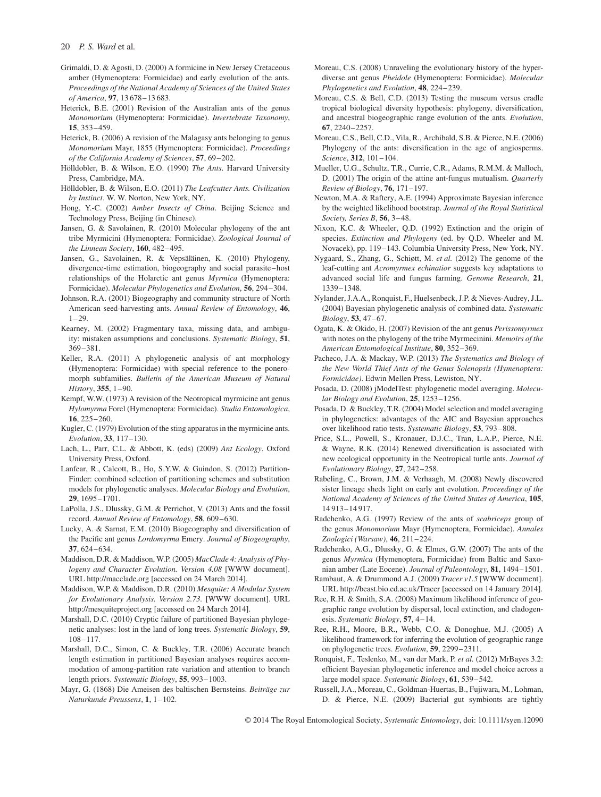- Grimaldi, D. & Agosti, D. (2000) A formicine in New Jersey Cretaceous amber (Hymenoptera: Formicidae) and early evolution of the ants. *Proceedings of the National Academy of Sciences of the United States of America*, **97**, 13 678–13 683.
- Heterick, B.E. (2001) Revision of the Australian ants of the genus *Monomorium* (Hymenoptera: Formicidae). *Invertebrate Taxonomy*, **15**, 353–459.
- Heterick, B. (2006) A revision of the Malagasy ants belonging to genus *Monomorium* Mayr, 1855 (Hymenoptera: Formicidae). *Proceedings of the California Academy of Sciences*, **57**, 69–202.
- Hölldobler, B. & Wilson, E.O. (1990) *The Ants*. Harvard University Press, Cambridge, MA.
- Hölldobler, B. & Wilson, E.O. (2011) *The Leafcutter Ants. Civilization by Instinct*. W. W. Norton, New York, NY.
- Hong, Y.-C. (2002) *Amber Insects of China*. Beijing Science and Technology Press, Beijing (in Chinese).
- Jansen, G. & Savolainen, R. (2010) Molecular phylogeny of the ant tribe Myrmicini (Hymenoptera: Formicidae). *Zoological Journal of the Linnean Society*, **160**, 482–495.
- Jansen, G., Savolainen, R. & Vepsäläinen, K. (2010) Phylogeny, divergence-time estimation, biogeography and social parasite–host relationships of the Holarctic ant genus *Myrmica* (Hymenoptera: Formicidae). *Molecular Phylogenetics and Evolution*, **56**, 294–304.
- Johnson, R.A. (2001) Biogeography and community structure of North American seed-harvesting ants. *Annual Review of Entomology*, **46**,  $1 - 29$ .
- Kearney, M. (2002) Fragmentary taxa, missing data, and ambiguity: mistaken assumptions and conclusions. *Systematic Biology*, **51**, 369–381.
- Keller, R.A. (2011) A phylogenetic analysis of ant morphology (Hymenoptera: Formicidae) with special reference to the poneromorph subfamilies. *Bulletin of the American Museum of Natural History*, **355**, 1–90.
- Kempf, W.W. (1973) A revision of the Neotropical myrmicine ant genus *Hylomyrma* Forel (Hymenoptera: Formicidae). *Studia Entomologica*, **16**, 225–260.
- Kugler, C. (1979) Evolution of the sting apparatus in the myrmicine ants. *Evolution*, **33**, 117–130.
- Lach, L., Parr, C.L. & Abbott, K. (eds) (2009) *Ant Ecology*. Oxford University Press, Oxford.
- Lanfear, R., Calcott, B., Ho, S.Y.W. & Guindon, S. (2012) Partition-Finder: combined selection of partitioning schemes and substitution models for phylogenetic analyses. *Molecular Biology and Evolution*, **29**, 1695–1701.
- LaPolla, J.S., Dlussky, G.M. & Perrichot, V. (2013) Ants and the fossil record. *Annual Review of Entomology*, **58**, 609–630.
- Lucky, A. & Sarnat, E.M. (2010) Biogeography and diversification of the Pacific ant genus *Lordomyrma* Emery. *Journal of Biogeography*, **37**, 624–634.
- Maddison, D.R. & Maddison, W.P. (2005) *MacClade 4: Analysis of Phylogeny and Character Evolution. Version 4.08* [WWW document]. URL http://macclade.org [accessed on 24 March 2014].
- Maddison, W.P. & Maddison, D.R. (2010) *Mesquite: A Modular System for Evolutionary Analysis. Version 2.73.* [WWW document]. URL http://mesquiteproject.org [accessed on 24 March 2014].
- Marshall, D.C. (2010) Cryptic failure of partitioned Bayesian phylogenetic analyses: lost in the land of long trees. *Systematic Biology*, **59**, 108–117.
- Marshall, D.C., Simon, C. & Buckley, T.R. (2006) Accurate branch length estimation in partitioned Bayesian analyses requires accommodation of among-partition rate variation and attention to branch length priors. *Systematic Biology*, **55**, 993–1003.
- Mayr, G. (1868) Die Ameisen des baltischen Bernsteins. *Beiträge zur Naturkunde Preussens*, **1**, 1–102.
- Moreau, C.S. (2008) Unraveling the evolutionary history of the hyperdiverse ant genus *Pheidole* (Hymenoptera: Formicidae). *Molecular Phylogenetics and Evolution*, **48**, 224–239.
- Moreau, C.S. & Bell, C.D. (2013) Testing the museum versus cradle tropical biological diversity hypothesis: phylogeny, diversification, and ancestral biogeographic range evolution of the ants. *Evolution*, **67**, 2240–2257.
- Moreau, C.S., Bell, C.D., Vila, R., Archibald, S.B. & Pierce, N.E. (2006) Phylogeny of the ants: diversification in the age of angiosperms. *Science*, **312**, 101–104.
- Mueller, U.G., Schultz, T.R., Currie, C.R., Adams, R.M.M. & Malloch, D. (2001) The origin of the attine ant-fungus mutualism. *Quarterly Review of Biology*, **76**, 171–197.
- Newton, M.A. & Raftery, A.E. (1994) Approximate Bayesian inference by the weighted likelihood bootstrap. *Journal of the Royal Statistical Society, Series B*, **56**, 3–48.
- Nixon, K.C. & Wheeler, Q.D. (1992) Extinction and the origin of species. *Extinction and Phylogeny* (ed. by Q.D. Wheeler and M. Novacek), pp. 119–143. Columbia University Press, New York, NY.
- Nygaard, S., Zhang, G., Schiøtt, M. *et al.* (2012) The genome of the leaf-cutting ant *Acromyrmex echinatior* suggests key adaptations to advanced social life and fungus farming. *Genome Research*, **21**, 1339–1348.
- Nylander, J.A.A., Ronquist, F., Huelsenbeck, J.P. & Nieves-Audrey, J.L. (2004) Bayesian phylogenetic analysis of combined data. *Systematic Biology*, **53**, 47–67.
- Ogata, K. & Okido, H. (2007) Revision of the ant genus *Perissomyrmex* with notes on the phylogeny of the tribe Myrmecinini. *Memoirs of the American Entomological Institute*, **80**, 352–369.
- Pacheco, J.A. & Mackay, W.P. (2013) *The Systematics and Biology of the New World Thief Ants of the Genus Solenopsis (Hymenoptera: Formicidae)*. Edwin Mellen Press, Lewiston, NY.
- Posada, D. (2008) jModelTest: phylogenetic model averaging. *Molecular Biology and Evolution*, **25**, 1253–1256.
- Posada, D. & Buckley, T.R. (2004) Model selection and model averaging in phylogenetics: advantages of the AIC and Bayesian approaches over likelihood ratio tests. *Systematic Biology*, **53**, 793–808.
- Price, S.L., Powell, S., Kronauer, D.J.C., Tran, L.A.P., Pierce, N.E. & Wayne, R.K. (2014) Renewed diversification is associated with new ecological opportunity in the Neotropical turtle ants. *Journal of Evolutionary Biology*, **27**, 242–258.
- Rabeling, C., Brown, J.M. & Verhaagh, M. (2008) Newly discovered sister lineage sheds light on early ant evolution. *Proceedings of the National Academy of Sciences of the United States of America*, **105**, 14 913–14 917.
- Radchenko, A.G. (1997) Review of the ants of *scabriceps* group of the genus *Monomorium* Mayr (Hymenoptera, Formicidae). *Annales Zoologici (Warsaw)*, **46**, 211–224.
- Radchenko, A.G., Dlussky, G. & Elmes, G.W. (2007) The ants of the genus *Myrmica* (Hymenoptera, Formicidae) from Baltic and Saxonian amber (Late Eocene). *Journal of Paleontology*, **81**, 1494–1501.
- Rambaut, A. & Drummond A.J. (2009) *Tracer v1.5* [WWW document]. URL http://beast.bio.ed.ac.uk/Tracer [accessed on 14 January 2014].
- Ree, R.H. & Smith, S.A. (2008) Maximum likelihood inference of geographic range evolution by dispersal, local extinction, and cladogenesis. *Systematic Biology*, **57**, 4–14.
- Ree, R.H., Moore, B.R., Webb, C.O. & Donoghue, M.J. (2005) A likelihood framework for inferring the evolution of geographic range on phylogenetic trees. *Evolution*, **59**, 2299–2311.
- Ronquist, F., Teslenko, M., van der Mark, P. *et al.* (2012) MrBayes 3.2: efficient Bayesian phylogenetic inference and model choice across a large model space. *Systematic Biology*, **61**, 539–542.
- Russell, J.A., Moreau, C., Goldman-Huertas, B., Fujiwara, M., Lohman, D. & Pierce, N.E. (2009) Bacterial gut symbionts are tightly